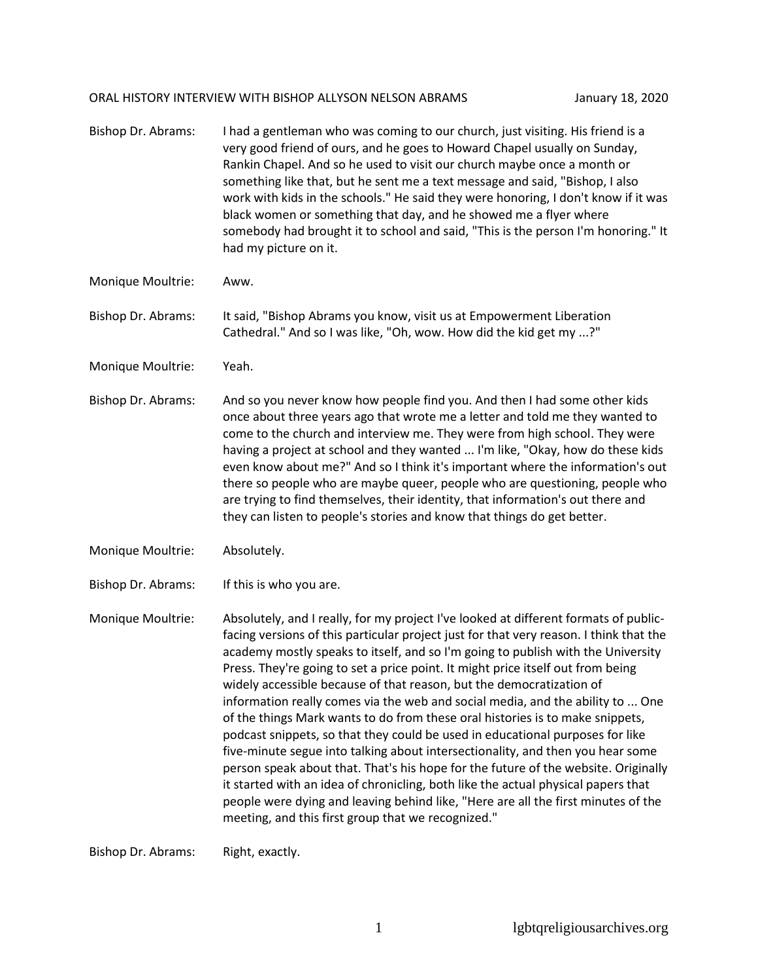## ORAL HISTORY INTERVIEW WITH BISHOP ALLYSON NELSON ABRAMS January 18, 2020

| Bishop Dr. Abrams: | I had a gentleman who was coming to our church, just visiting. His friend is a<br>very good friend of ours, and he goes to Howard Chapel usually on Sunday,<br>Rankin Chapel. And so he used to visit our church maybe once a month or<br>something like that, but he sent me a text message and said, "Bishop, I also<br>work with kids in the schools." He said they were honoring, I don't know if it was<br>black women or something that day, and he showed me a flyer where<br>somebody had brought it to school and said, "This is the person I'm honoring." It<br>had my picture on it.                                                                                   |
|--------------------|-----------------------------------------------------------------------------------------------------------------------------------------------------------------------------------------------------------------------------------------------------------------------------------------------------------------------------------------------------------------------------------------------------------------------------------------------------------------------------------------------------------------------------------------------------------------------------------------------------------------------------------------------------------------------------------|
| Monique Moultrie:  | Aww.                                                                                                                                                                                                                                                                                                                                                                                                                                                                                                                                                                                                                                                                              |
| Bishop Dr. Abrams: | It said, "Bishop Abrams you know, visit us at Empowerment Liberation<br>Cathedral." And so I was like, "Oh, wow. How did the kid get my ?"                                                                                                                                                                                                                                                                                                                                                                                                                                                                                                                                        |
| Monique Moultrie:  | Yeah.                                                                                                                                                                                                                                                                                                                                                                                                                                                                                                                                                                                                                                                                             |
| Bishop Dr. Abrams: | And so you never know how people find you. And then I had some other kids<br>once about three years ago that wrote me a letter and told me they wanted to<br>come to the church and interview me. They were from high school. They were<br>having a project at school and they wanted  I'm like, "Okay, how do these kids<br>even know about me?" And so I think it's important where the information's out<br>there so people who are maybe queer, people who are questioning, people who<br>are trying to find themselves, their identity, that information's out there and<br>they can listen to people's stories and know that things do get better.                          |
| Monique Moultrie:  | Absolutely.                                                                                                                                                                                                                                                                                                                                                                                                                                                                                                                                                                                                                                                                       |
| Bishop Dr. Abrams: | If this is who you are.                                                                                                                                                                                                                                                                                                                                                                                                                                                                                                                                                                                                                                                           |
| Monique Moultrie:  | Absolutely, and I really, for my project I've looked at different formats of public-<br>facing versions of this particular project just for that very reason. I think that the<br>academy mostly speaks to itself, and so I'm going to publish with the University<br>Press. They're going to set a price point. It might price itself out from being<br>widely accessible because of that reason, but the democratization of<br>information really comes via the web and social media, and the ability to  One<br>of the things Mark wants to do from these oral histories is to make snippets,<br>podcast snippets, so that they could be used in educational purposes for like |

ippets, so that they five-minute segue into talking about intersectionality, and then you hear some person speak about that. That's his hope for the future of the website. Originally it started with an idea of chronicling, both like the actual physical papers that people were dying and leaving behind like, "Here are all the first minutes of the meeting, and this first group that we recognized."

Bishop Dr. Abrams: Right, exactly.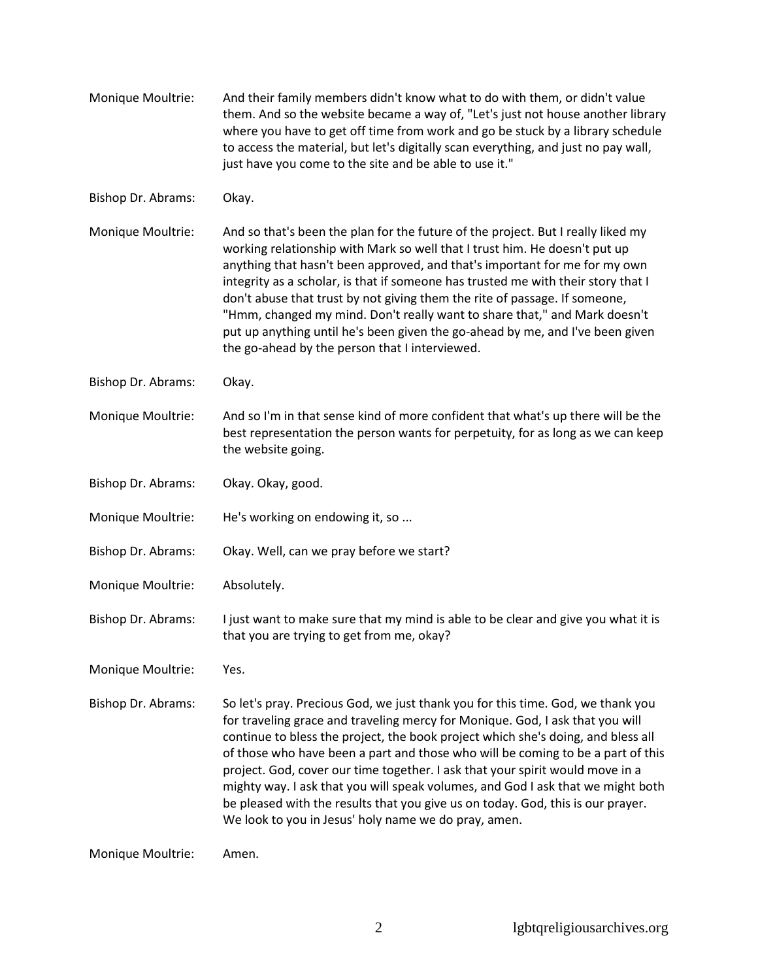| Monique Moultrie:  | And their family members didn't know what to do with them, or didn't value<br>them. And so the website became a way of, "Let's just not house another library<br>where you have to get off time from work and go be stuck by a library schedule<br>to access the material, but let's digitally scan everything, and just no pay wall,<br>just have you come to the site and be able to use it."                                                                                                                                                                                                                                                        |
|--------------------|--------------------------------------------------------------------------------------------------------------------------------------------------------------------------------------------------------------------------------------------------------------------------------------------------------------------------------------------------------------------------------------------------------------------------------------------------------------------------------------------------------------------------------------------------------------------------------------------------------------------------------------------------------|
| Bishop Dr. Abrams: | Okay.                                                                                                                                                                                                                                                                                                                                                                                                                                                                                                                                                                                                                                                  |
| Monique Moultrie:  | And so that's been the plan for the future of the project. But I really liked my<br>working relationship with Mark so well that I trust him. He doesn't put up<br>anything that hasn't been approved, and that's important for me for my own<br>integrity as a scholar, is that if someone has trusted me with their story that I<br>don't abuse that trust by not giving them the rite of passage. If someone,<br>"Hmm, changed my mind. Don't really want to share that," and Mark doesn't<br>put up anything until he's been given the go-ahead by me, and I've been given<br>the go-ahead by the person that I interviewed.                        |
| Bishop Dr. Abrams: | Okay.                                                                                                                                                                                                                                                                                                                                                                                                                                                                                                                                                                                                                                                  |
| Monique Moultrie:  | And so I'm in that sense kind of more confident that what's up there will be the<br>best representation the person wants for perpetuity, for as long as we can keep<br>the website going.                                                                                                                                                                                                                                                                                                                                                                                                                                                              |
| Bishop Dr. Abrams: | Okay. Okay, good.                                                                                                                                                                                                                                                                                                                                                                                                                                                                                                                                                                                                                                      |
| Monique Moultrie:  | He's working on endowing it, so                                                                                                                                                                                                                                                                                                                                                                                                                                                                                                                                                                                                                        |
| Bishop Dr. Abrams: | Okay. Well, can we pray before we start?                                                                                                                                                                                                                                                                                                                                                                                                                                                                                                                                                                                                               |
| Monique Moultrie:  | Absolutely.                                                                                                                                                                                                                                                                                                                                                                                                                                                                                                                                                                                                                                            |
| Bishop Dr. Abrams: | I just want to make sure that my mind is able to be clear and give you what it is<br>that you are trying to get from me, okay?                                                                                                                                                                                                                                                                                                                                                                                                                                                                                                                         |
| Monique Moultrie:  | Yes.                                                                                                                                                                                                                                                                                                                                                                                                                                                                                                                                                                                                                                                   |
| Bishop Dr. Abrams: | So let's pray. Precious God, we just thank you for this time. God, we thank you<br>for traveling grace and traveling mercy for Monique. God, I ask that you will<br>continue to bless the project, the book project which she's doing, and bless all<br>of those who have been a part and those who will be coming to be a part of this<br>project. God, cover our time together. I ask that your spirit would move in a<br>mighty way. I ask that you will speak volumes, and God I ask that we might both<br>be pleased with the results that you give us on today. God, this is our prayer.<br>We look to you in Jesus' holy name we do pray, amen. |
| Monique Moultrie:  | Amen.                                                                                                                                                                                                                                                                                                                                                                                                                                                                                                                                                                                                                                                  |

2 lgbtqreligiousarchives.org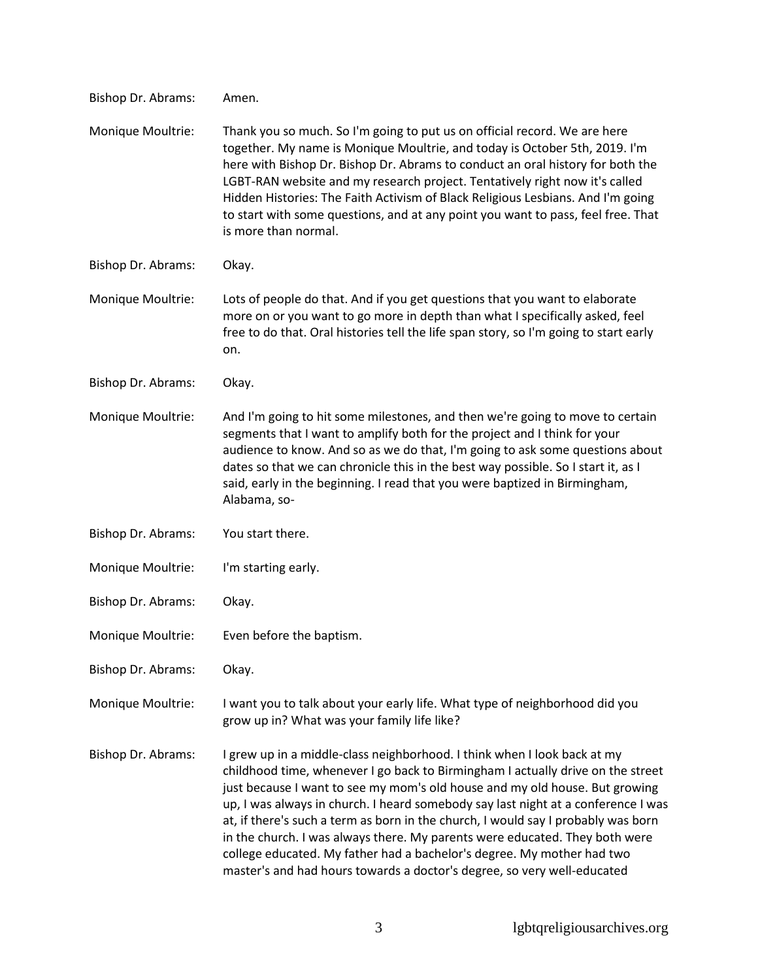| Bishop Dr. Abrams: | Amen.                                                                                                                                                                                                                                                                                                                                                                                                                                                                                                                                                                                                                                                    |
|--------------------|----------------------------------------------------------------------------------------------------------------------------------------------------------------------------------------------------------------------------------------------------------------------------------------------------------------------------------------------------------------------------------------------------------------------------------------------------------------------------------------------------------------------------------------------------------------------------------------------------------------------------------------------------------|
| Monique Moultrie:  | Thank you so much. So I'm going to put us on official record. We are here<br>together. My name is Monique Moultrie, and today is October 5th, 2019. I'm<br>here with Bishop Dr. Bishop Dr. Abrams to conduct an oral history for both the<br>LGBT-RAN website and my research project. Tentatively right now it's called<br>Hidden Histories: The Faith Activism of Black Religious Lesbians. And I'm going<br>to start with some questions, and at any point you want to pass, feel free. That<br>is more than normal.                                                                                                                                  |
| Bishop Dr. Abrams: | Okay.                                                                                                                                                                                                                                                                                                                                                                                                                                                                                                                                                                                                                                                    |
| Monique Moultrie:  | Lots of people do that. And if you get questions that you want to elaborate<br>more on or you want to go more in depth than what I specifically asked, feel<br>free to do that. Oral histories tell the life span story, so I'm going to start early<br>on.                                                                                                                                                                                                                                                                                                                                                                                              |
| Bishop Dr. Abrams: | Okay.                                                                                                                                                                                                                                                                                                                                                                                                                                                                                                                                                                                                                                                    |
| Monique Moultrie:  | And I'm going to hit some milestones, and then we're going to move to certain<br>segments that I want to amplify both for the project and I think for your<br>audience to know. And so as we do that, I'm going to ask some questions about<br>dates so that we can chronicle this in the best way possible. So I start it, as I<br>said, early in the beginning. I read that you were baptized in Birmingham,<br>Alabama, so-                                                                                                                                                                                                                           |
| Bishop Dr. Abrams: | You start there.                                                                                                                                                                                                                                                                                                                                                                                                                                                                                                                                                                                                                                         |
| Monique Moultrie:  | I'm starting early.                                                                                                                                                                                                                                                                                                                                                                                                                                                                                                                                                                                                                                      |
| Bishop Dr. Abrams: | Okay.                                                                                                                                                                                                                                                                                                                                                                                                                                                                                                                                                                                                                                                    |
| Monique Moultrie:  | Even before the baptism.                                                                                                                                                                                                                                                                                                                                                                                                                                                                                                                                                                                                                                 |
| Bishop Dr. Abrams: | Okay.                                                                                                                                                                                                                                                                                                                                                                                                                                                                                                                                                                                                                                                    |
| Monique Moultrie:  | I want you to talk about your early life. What type of neighborhood did you<br>grow up in? What was your family life like?                                                                                                                                                                                                                                                                                                                                                                                                                                                                                                                               |
| Bishop Dr. Abrams: | I grew up in a middle-class neighborhood. I think when I look back at my<br>childhood time, whenever I go back to Birmingham I actually drive on the street<br>just because I want to see my mom's old house and my old house. But growing<br>up, I was always in church. I heard somebody say last night at a conference I was<br>at, if there's such a term as born in the church, I would say I probably was born<br>in the church. I was always there. My parents were educated. They both were<br>college educated. My father had a bachelor's degree. My mother had two<br>master's and had hours towards a doctor's degree, so very well-educated |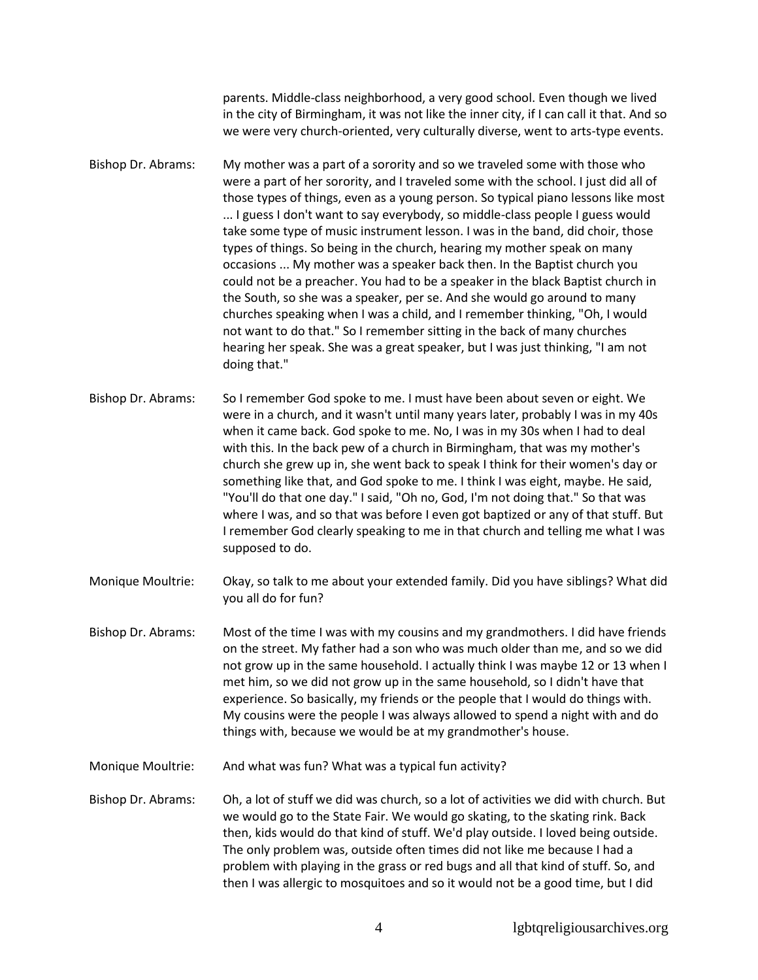parents. Middle-class neighborhood, a very good school. Even though we lived in the city of Birmingham, it was not like the inner city, if I can call it that. And so we were very church-oriented, very culturally diverse, went to arts-type events.

- Bishop Dr. Abrams: My mother was a part of a sorority and so we traveled some with those who were a part of her sorority, and I traveled some with the school. I just did all of those types of things, even as a young person. So typical piano lessons like most ... I guess I don't want to say everybody, so middle-class people I guess would take some type of music instrument lesson. I was in the band, did choir, those types of things. So being in the church, hearing my mother speak on many occasions ... My mother was a speaker back then. In the Baptist church you could not be a preacher. You had to be a speaker in the black Baptist church in the South, so she was a speaker, per se. And she would go around to many churches speaking when I was a child, and I remember thinking, "Oh, I would not want to do that." So I remember sitting in the back of many churches hearing her speak. She was a great speaker, but I was just thinking, "I am not doing that."
- Bishop Dr. Abrams: So I remember God spoke to me. I must have been about seven or eight. We were in a church, and it wasn't until many years later, probably I was in my 40s when it came back. God spoke to me. No, I was in my 30s when I had to deal with this. In the back pew of a church in Birmingham, that was my mother's church she grew up in, she went back to speak I think for their women's day or something like that, and God spoke to me. I think I was eight, maybe. He said, "You'll do that one day." I said, "Oh no, God, I'm not doing that." So that was where I was, and so that was before I even got baptized or any of that stuff. But I remember God clearly speaking to me in that church and telling me what I was supposed to do.
- Monique Moultrie: Okay, so talk to me about your extended family. Did you have siblings? What did you all do for fun?
- Bishop Dr. Abrams: Most of the time I was with my cousins and my grandmothers. I did have friends on the street. My father had a son who was much older than me, and so we did not grow up in the same household. I actually think I was maybe 12 or 13 when I met him, so we did not grow up in the same household, so I didn't have that experience. So basically, my friends or the people that I would do things with. My cousins were the people I was always allowed to spend a night with and do things with, because we would be at my grandmother's house.
- Monique Moultrie: And what was fun? What was a typical fun activity?
- Bishop Dr. Abrams: Oh, a lot of stuff we did was church, so a lot of activities we did with church. But we would go to the State Fair. We would go skating, to the skating rink. Back then, kids would do that kind of stuff. We'd play outside. I loved being outside. The only problem was, outside often times did not like me because I had a problem with playing in the grass or red bugs and all that kind of stuff. So, and then I was allergic to mosquitoes and so it would not be a good time, but I did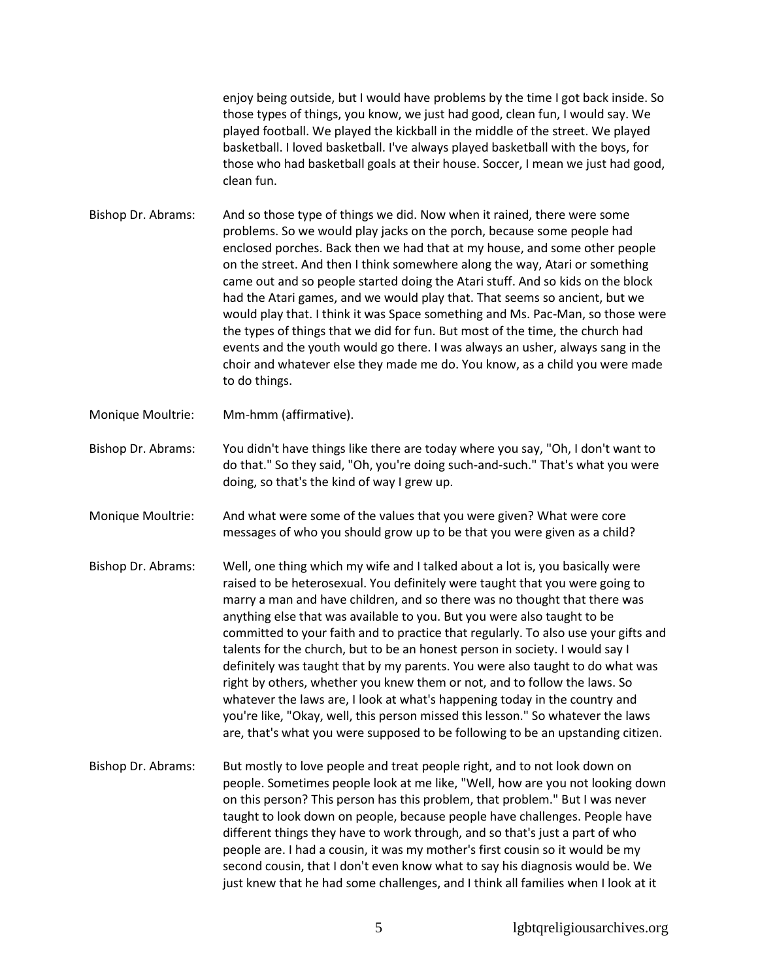enjoy being outside, but I would have problems by the time I got back inside. So those types of things, you know, we just had good, clean fun, I would say. We played football. We played the kickball in the middle of the street. We played basketball. I loved basketball. I've always played basketball with the boys, for those who had basketball goals at their house. Soccer, I mean we just had good, clean fun.

Bishop Dr. Abrams: And so those type of things we did. Now when it rained, there were some problems. So we would play jacks on the porch, because some people had enclosed porches. Back then we had that at my house, and some other people on the street. And then I think somewhere along the way, Atari or something came out and so people started doing the Atari stuff. And so kids on the block had the Atari games, and we would play that. That seems so ancient, but we would play that. I think it was Space something and Ms. Pac-Man, so those were the types of things that we did for fun. But most of the time, the church had events and the youth would go there. I was always an usher, always sang in the choir and whatever else they made me do. You know, as a child you were made to do things.

Monique Moultrie: Mm-hmm (affirmative).

Bishop Dr. Abrams: You didn't have things like there are today where you say, "Oh, I don't want to do that." So they said, "Oh, you're doing such-and-such." That's what you were doing, so that's the kind of way I grew up.

Monique Moultrie: And what were some of the values that you were given? What were core messages of who you should grow up to be that you were given as a child?

- Bishop Dr. Abrams: Well, one thing which my wife and I talked about a lot is, you basically were raised to be heterosexual. You definitely were taught that you were going to marry a man and have children, and so there was no thought that there was anything else that was available to you. But you were also taught to be committed to your faith and to practice that regularly. To also use your gifts and talents for the church, but to be an honest person in society. I would say I definitely was taught that by my parents. You were also taught to do what was right by others, whether you knew them or not, and to follow the laws. So whatever the laws are, I look at what's happening today in the country and you're like, "Okay, well, this person missed this lesson." So whatever the laws are, that's what you were supposed to be following to be an upstanding citizen.
- Bishop Dr. Abrams: But mostly to love people and treat people right, and to not look down on people. Sometimes people look at me like, "Well, how are you not looking down on this person? This person has this problem, that problem." But I was never taught to look down on people, because people have challenges. People have different things they have to work through, and so that's just a part of who people are. I had a cousin, it was my mother's first cousin so it would be my second cousin, that I don't even know what to say his diagnosis would be. We just knew that he had some challenges, and I think all families when I look at it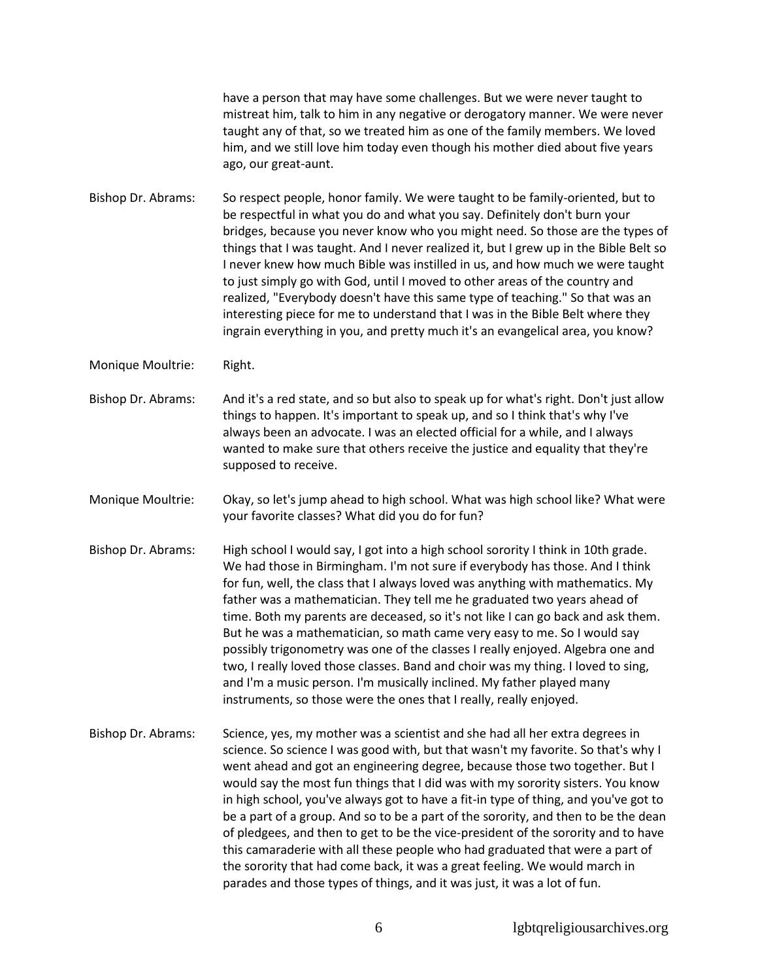have a person that may have some challenges. But we were never taught to mistreat him, talk to him in any negative or derogatory manner. We were never taught any of that, so we treated him as one of the family members. We loved him, and we still love him today even though his mother died about five years ago, our great-aunt.

Bishop Dr. Abrams: So respect people, honor family. We were taught to be family-oriented, but to be respectful in what you do and what you say. Definitely don't burn your bridges, because you never know who you might need. So those are the types of things that I was taught. And I never realized it, but I grew up in the Bible Belt so I never knew how much Bible was instilled in us, and how much we were taught to just simply go with God, until I moved to other areas of the country and realized, "Everybody doesn't have this same type of teaching." So that was an interesting piece for me to understand that I was in the Bible Belt where they ingrain everything in you, and pretty much it's an evangelical area, you know?

Monique Moultrie: Right.

- Bishop Dr. Abrams: And it's a red state, and so but also to speak up for what's right. Don't just allow things to happen. It's important to speak up, and so I think that's why I've always been an advocate. I was an elected official for a while, and I always wanted to make sure that others receive the justice and equality that they're supposed to receive.
- Monique Moultrie: Okay, so let's jump ahead to high school. What was high school like? What were your favorite classes? What did you do for fun?
- Bishop Dr. Abrams: High school I would say, I got into a high school sorority I think in 10th grade. We had those in Birmingham. I'm not sure if everybody has those. And I think for fun, well, the class that I always loved was anything with mathematics. My father was a mathematician. They tell me he graduated two years ahead of time. Both my parents are deceased, so it's not like I can go back and ask them. But he was a mathematician, so math came very easy to me. So I would say possibly trigonometry was one of the classes I really enjoyed. Algebra one and two, I really loved those classes. Band and choir was my thing. I loved to sing, and I'm a music person. I'm musically inclined. My father played many instruments, so those were the ones that I really, really enjoyed.
- Bishop Dr. Abrams: Science, yes, my mother was a scientist and she had all her extra degrees in science. So science I was good with, but that wasn't my favorite. So that's why I went ahead and got an engineering degree, because those two together. But I would say the most fun things that I did was with my sorority sisters. You know in high school, you've always got to have a fit-in type of thing, and you've got to be a part of a group. And so to be a part of the sorority, and then to be the dean of pledgees, and then to get to be the vice-president of the sorority and to have this camaraderie with all these people who had graduated that were a part of the sorority that had come back, it was a great feeling. We would march in parades and those types of things, and it was just, it was a lot of fun.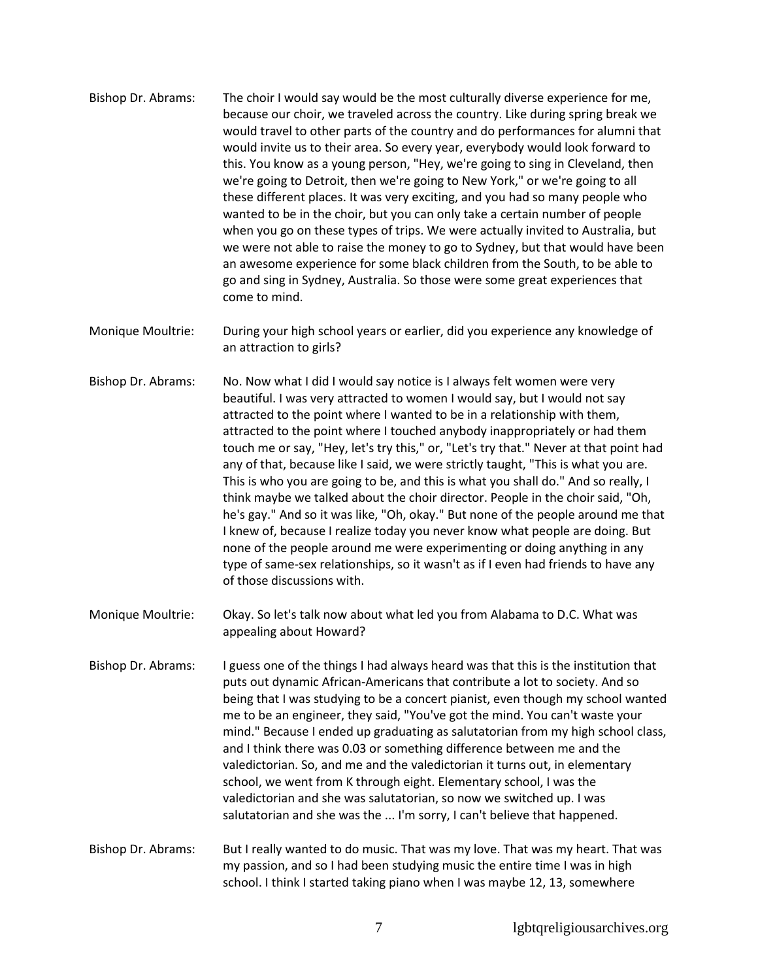- Bishop Dr. Abrams: The choir I would say would be the most culturally diverse experience for me, because our choir, we traveled across the country. Like during spring break we would travel to other parts of the country and do performances for alumni that would invite us to their area. So every year, everybody would look forward to this. You know as a young person, "Hey, we're going to sing in Cleveland, then we're going to Detroit, then we're going to New York," or we're going to all these different places. It was very exciting, and you had so many people who wanted to be in the choir, but you can only take a certain number of people when you go on these types of trips. We were actually invited to Australia, but we were not able to raise the money to go to Sydney, but that would have been an awesome experience for some black children from the South, to be able to go and sing in Sydney, Australia. So those were some great experiences that come to mind.
- Monique Moultrie: During your high school years or earlier, did you experience any knowledge of an attraction to girls?
- Bishop Dr. Abrams: No. Now what I did I would say notice is I always felt women were very beautiful. I was very attracted to women I would say, but I would not say attracted to the point where I wanted to be in a relationship with them, attracted to the point where I touched anybody inappropriately or had them touch me or say, "Hey, let's try this," or, "Let's try that." Never at that point had any of that, because like I said, we were strictly taught, "This is what you are. This is who you are going to be, and this is what you shall do." And so really, I think maybe we talked about the choir director. People in the choir said, "Oh, he's gay." And so it was like, "Oh, okay." But none of the people around me that I knew of, because I realize today you never know what people are doing. But none of the people around me were experimenting or doing anything in any type of same-sex relationships, so it wasn't as if I even had friends to have any of those discussions with.
- Monique Moultrie: Okay. So let's talk now about what led you from Alabama to D.C. What was appealing about Howard?
- Bishop Dr. Abrams: I guess one of the things I had always heard was that this is the institution that puts out dynamic African-Americans that contribute a lot to society. And so being that I was studying to be a concert pianist, even though my school wanted me to be an engineer, they said, "You've got the mind. You can't waste your mind." Because I ended up graduating as salutatorian from my high school class, and I think there was 0.03 or something difference between me and the valedictorian. So, and me and the valedictorian it turns out, in elementary school, we went from K through eight. Elementary school, I was the valedictorian and she was salutatorian, so now we switched up. I was salutatorian and she was the ... I'm sorry, I can't believe that happened.
- Bishop Dr. Abrams: But I really wanted to do music. That was my love. That was my heart. That was my passion, and so I had been studying music the entire time I was in high school. I think I started taking piano when I was maybe 12, 13, somewhere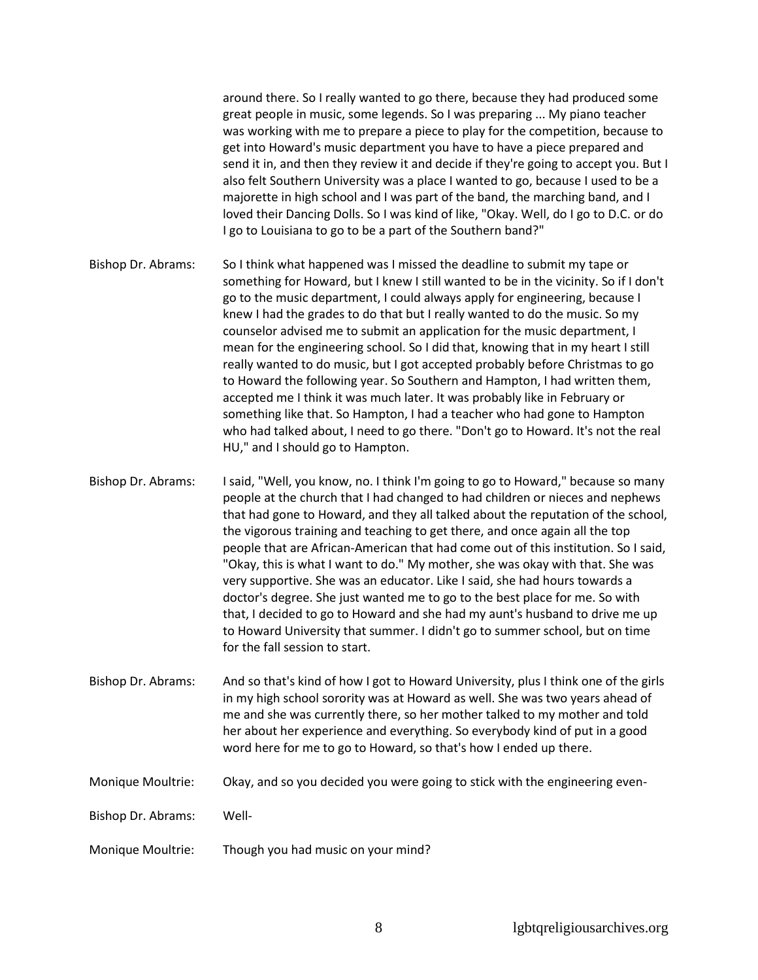around there. So I really wanted to go there, because they had produced some great people in music, some legends. So I was preparing ... My piano teacher was working with me to prepare a piece to play for the competition, because to get into Howard's music department you have to have a piece prepared and send it in, and then they review it and decide if they're going to accept you. But I also felt Southern University was a place I wanted to go, because I used to be a majorette in high school and I was part of the band, the marching band, and I loved their Dancing Dolls. So I was kind of like, "Okay. Well, do I go to D.C. or do I go to Louisiana to go to be a part of the Southern band?"

- Bishop Dr. Abrams: So I think what happened was I missed the deadline to submit my tape or something for Howard, but I knew I still wanted to be in the vicinity. So if I don't go to the music department, I could always apply for engineering, because I knew I had the grades to do that but I really wanted to do the music. So my counselor advised me to submit an application for the music department, I mean for the engineering school. So I did that, knowing that in my heart I still really wanted to do music, but I got accepted probably before Christmas to go to Howard the following year. So Southern and Hampton, I had written them, accepted me I think it was much later. It was probably like in February or something like that. So Hampton, I had a teacher who had gone to Hampton who had talked about, I need to go there. "Don't go to Howard. It's not the real HU," and I should go to Hampton.
- Bishop Dr. Abrams: I said, "Well, you know, no. I think I'm going to go to Howard," because so many people at the church that I had changed to had children or nieces and nephews that had gone to Howard, and they all talked about the reputation of the school, the vigorous training and teaching to get there, and once again all the top people that are African-American that had come out of this institution. So I said, "Okay, this is what I want to do." My mother, she was okay with that. She was very supportive. She was an educator. Like I said, she had hours towards a doctor's degree. She just wanted me to go to the best place for me. So with that, I decided to go to Howard and she had my aunt's husband to drive me up to Howard University that summer. I didn't go to summer school, but on time for the fall session to start.
- Bishop Dr. Abrams: And so that's kind of how I got to Howard University, plus I think one of the girls in my high school sorority was at Howard as well. She was two years ahead of me and she was currently there, so her mother talked to my mother and told her about her experience and everything. So everybody kind of put in a good word here for me to go to Howard, so that's how I ended up there.

## Monique Moultrie: Okay, and so you decided you were going to stick with the engineering even-

Bishop Dr. Abrams: Well-

Monique Moultrie: Though you had music on your mind?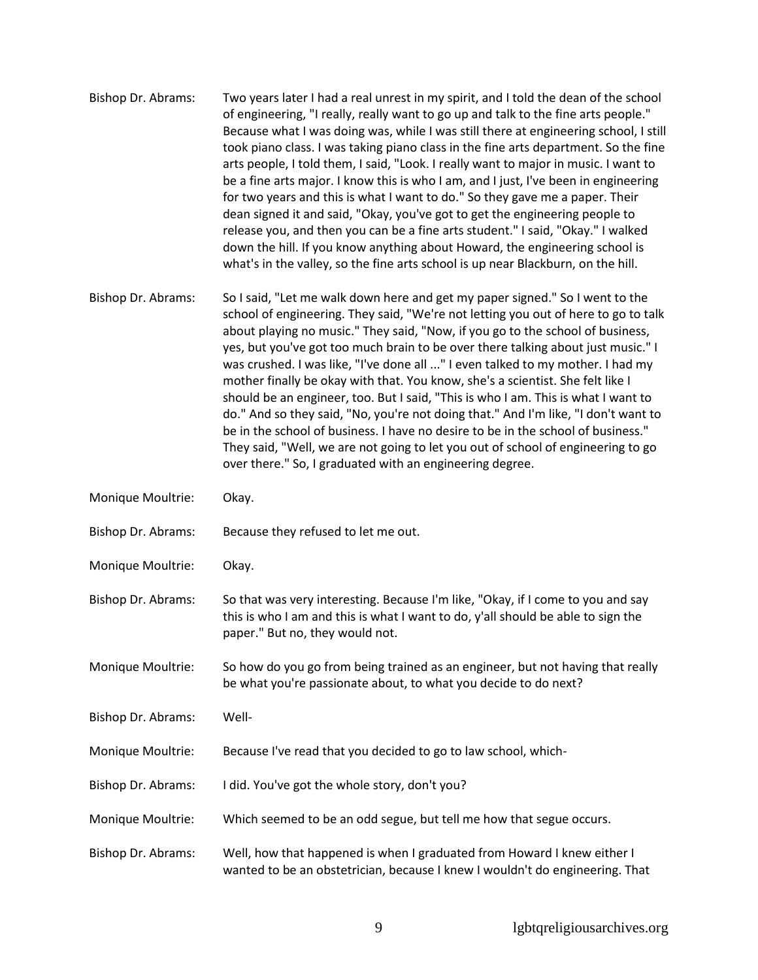- Bishop Dr. Abrams: Two years later I had a real unrest in my spirit, and I told the dean of the school of engineering, "I really, really want to go up and talk to the fine arts people." Because what I was doing was, while I was still there at engineering school, I still took piano class. I was taking piano class in the fine arts department. So the fine arts people, I told them, I said, "Look. I really want to major in music. I want to be a fine arts major. I know this is who I am, and I just, I've been in engineering for two years and this is what I want to do." So they gave me a paper. Their dean signed it and said, "Okay, you've got to get the engineering people to release you, and then you can be a fine arts student." I said, "Okay." I walked down the hill. If you know anything about Howard, the engineering school is what's in the valley, so the fine arts school is up near Blackburn, on the hill.
- Bishop Dr. Abrams: So I said, "Let me walk down here and get my paper signed." So I went to the school of engineering. They said, "We're not letting you out of here to go to talk about playing no music." They said, "Now, if you go to the school of business, yes, but you've got too much brain to be over there talking about just music." I was crushed. I was like, "I've done all ..." I even talked to my mother. I had my mother finally be okay with that. You know, she's a scientist. She felt like I should be an engineer, too. But I said, "This is who I am. This is what I want to do." And so they said, "No, you're not doing that." And I'm like, "I don't want to be in the school of business. I have no desire to be in the school of business." They said, "Well, we are not going to let you out of school of engineering to go over there." So, I graduated with an engineering degree.
- Monique Moultrie: Okay.
- Bishop Dr. Abrams: Because they refused to let me out.
- Monique Moultrie: Okay.
- Bishop Dr. Abrams: So that was very interesting. Because I'm like, "Okay, if I come to you and say this is who I am and this is what I want to do, y'all should be able to sign the paper." But no, they would not.
- Monique Moultrie: So how do you go from being trained as an engineer, but not having that really be what you're passionate about, to what you decide to do next?
- Bishop Dr. Abrams: Well-
- Monique Moultrie: Because I've read that you decided to go to law school, which-
- Bishop Dr. Abrams: I did. You've got the whole story, don't you?
- Monique Moultrie: Which seemed to be an odd segue, but tell me how that segue occurs.
- Bishop Dr. Abrams: Well, how that happened is when I graduated from Howard I knew either I wanted to be an obstetrician, because I knew I wouldn't do engineering. That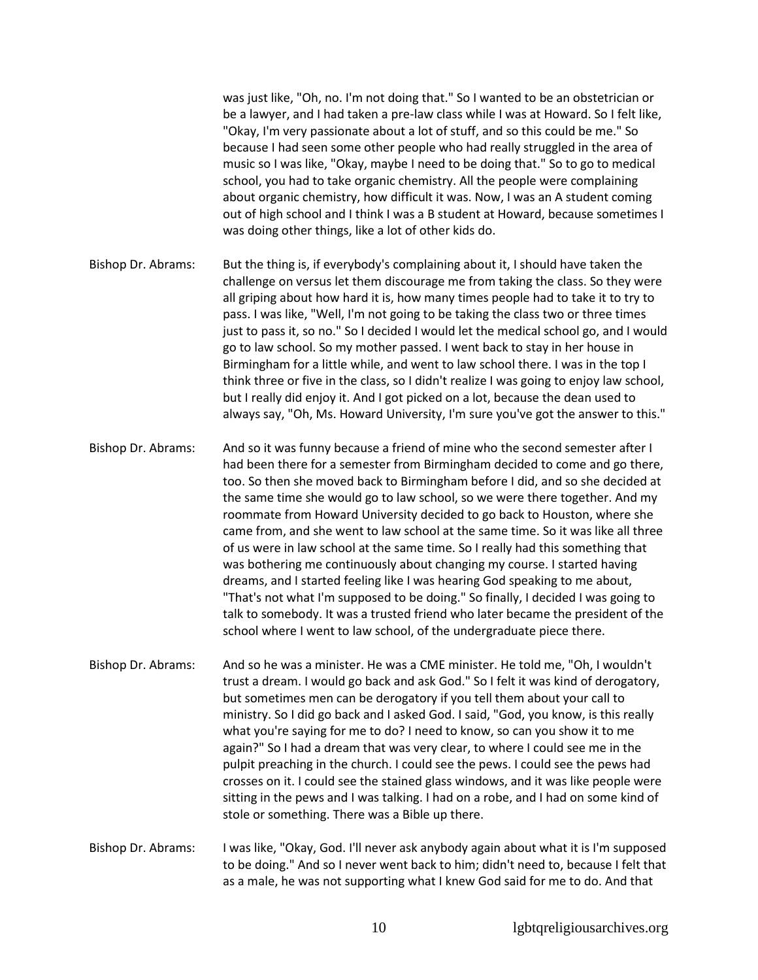was just like, "Oh, no. I'm not doing that." So I wanted to be an obstetrician or be a lawyer, and I had taken a pre-law class while I was at Howard. So I felt like, "Okay, I'm very passionate about a lot of stuff, and so this could be me." So because I had seen some other people who had really struggled in the area of music so I was like, "Okay, maybe I need to be doing that." So to go to medical school, you had to take organic chemistry. All the people were complaining about organic chemistry, how difficult it was. Now, I was an A student coming out of high school and I think I was a B student at Howard, because sometimes I was doing other things, like a lot of other kids do.

Bishop Dr. Abrams: But the thing is, if everybody's complaining about it, I should have taken the challenge on versus let them discourage me from taking the class. So they were all griping about how hard it is, how many times people had to take it to try to pass. I was like, "Well, I'm not going to be taking the class two or three times just to pass it, so no." So I decided I would let the medical school go, and I would go to law school. So my mother passed. I went back to stay in her house in Birmingham for a little while, and went to law school there. I was in the top I think three or five in the class, so I didn't realize I was going to enjoy law school, but I really did enjoy it. And I got picked on a lot, because the dean used to always say, "Oh, Ms. Howard University, I'm sure you've got the answer to this."

Bishop Dr. Abrams: And so it was funny because a friend of mine who the second semester after I had been there for a semester from Birmingham decided to come and go there, too. So then she moved back to Birmingham before I did, and so she decided at the same time she would go to law school, so we were there together. And my roommate from Howard University decided to go back to Houston, where she came from, and she went to law school at the same time. So it was like all three of us were in law school at the same time. So I really had this something that was bothering me continuously about changing my course. I started having dreams, and I started feeling like I was hearing God speaking to me about, "That's not what I'm supposed to be doing." So finally, I decided I was going to talk to somebody. It was a trusted friend who later became the president of the school where I went to law school, of the undergraduate piece there.

- Bishop Dr. Abrams: And so he was a minister. He was a CME minister. He told me, "Oh, I wouldn't trust a dream. I would go back and ask God." So I felt it was kind of derogatory, but sometimes men can be derogatory if you tell them about your call to ministry. So I did go back and I asked God. I said, "God, you know, is this really what you're saying for me to do? I need to know, so can you show it to me again?" So I had a dream that was very clear, to where I could see me in the pulpit preaching in the church. I could see the pews. I could see the pews had crosses on it. I could see the stained glass windows, and it was like people were sitting in the pews and I was talking. I had on a robe, and I had on some kind of stole or something. There was a Bible up there.
- Bishop Dr. Abrams: I was like, "Okay, God. I'll never ask anybody again about what it is I'm supposed to be doing." And so I never went back to him; didn't need to, because I felt that as a male, he was not supporting what I knew God said for me to do. And that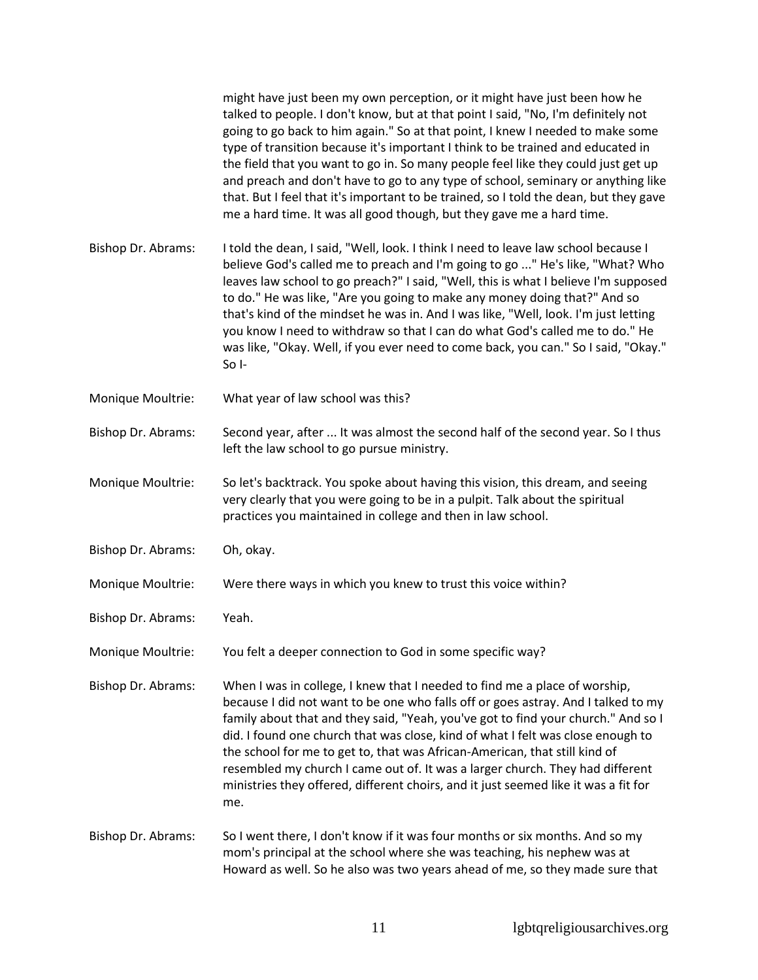|                    | might have just been my own perception, or it might have just been how he<br>talked to people. I don't know, but at that point I said, "No, I'm definitely not<br>going to go back to him again." So at that point, I knew I needed to make some<br>type of transition because it's important I think to be trained and educated in<br>the field that you want to go in. So many people feel like they could just get up<br>and preach and don't have to go to any type of school, seminary or anything like<br>that. But I feel that it's important to be trained, so I told the dean, but they gave<br>me a hard time. It was all good though, but they gave me a hard time. |
|--------------------|--------------------------------------------------------------------------------------------------------------------------------------------------------------------------------------------------------------------------------------------------------------------------------------------------------------------------------------------------------------------------------------------------------------------------------------------------------------------------------------------------------------------------------------------------------------------------------------------------------------------------------------------------------------------------------|
| Bishop Dr. Abrams: | I told the dean, I said, "Well, look. I think I need to leave law school because I<br>believe God's called me to preach and I'm going to go " He's like, "What? Who<br>leaves law school to go preach?" I said, "Well, this is what I believe I'm supposed<br>to do." He was like, "Are you going to make any money doing that?" And so<br>that's kind of the mindset he was in. And I was like, "Well, look. I'm just letting<br>you know I need to withdraw so that I can do what God's called me to do." He<br>was like, "Okay. Well, if you ever need to come back, you can." So I said, "Okay."<br>So I-                                                                  |
| Monique Moultrie:  | What year of law school was this?                                                                                                                                                                                                                                                                                                                                                                                                                                                                                                                                                                                                                                              |
| Bishop Dr. Abrams: | Second year, after  It was almost the second half of the second year. So I thus<br>left the law school to go pursue ministry.                                                                                                                                                                                                                                                                                                                                                                                                                                                                                                                                                  |
| Monique Moultrie:  | So let's backtrack. You spoke about having this vision, this dream, and seeing<br>very clearly that you were going to be in a pulpit. Talk about the spiritual<br>practices you maintained in college and then in law school.                                                                                                                                                                                                                                                                                                                                                                                                                                                  |
| Bishop Dr. Abrams: | Oh, okay.                                                                                                                                                                                                                                                                                                                                                                                                                                                                                                                                                                                                                                                                      |
| Monique Moultrie:  | Were there ways in which you knew to trust this voice within?                                                                                                                                                                                                                                                                                                                                                                                                                                                                                                                                                                                                                  |
| Bishop Dr. Abrams: | Yeah.                                                                                                                                                                                                                                                                                                                                                                                                                                                                                                                                                                                                                                                                          |
| Monique Moultrie:  | You felt a deeper connection to God in some specific way?                                                                                                                                                                                                                                                                                                                                                                                                                                                                                                                                                                                                                      |
| Bishop Dr. Abrams: | When I was in college, I knew that I needed to find me a place of worship,<br>because I did not want to be one who falls off or goes astray. And I talked to my<br>family about that and they said, "Yeah, you've got to find your church." And so I<br>did. I found one church that was close, kind of what I felt was close enough to<br>the school for me to get to, that was African-American, that still kind of<br>resembled my church I came out of. It was a larger church. They had different<br>ministries they offered, different choirs, and it just seemed like it was a fit for<br>me.                                                                           |
| Bishop Dr. Abrams: | So I went there, I don't know if it was four months or six months. And so my<br>mom's principal at the school where she was teaching, his nephew was at<br>Howard as well. So he also was two years ahead of me, so they made sure that                                                                                                                                                                                                                                                                                                                                                                                                                                        |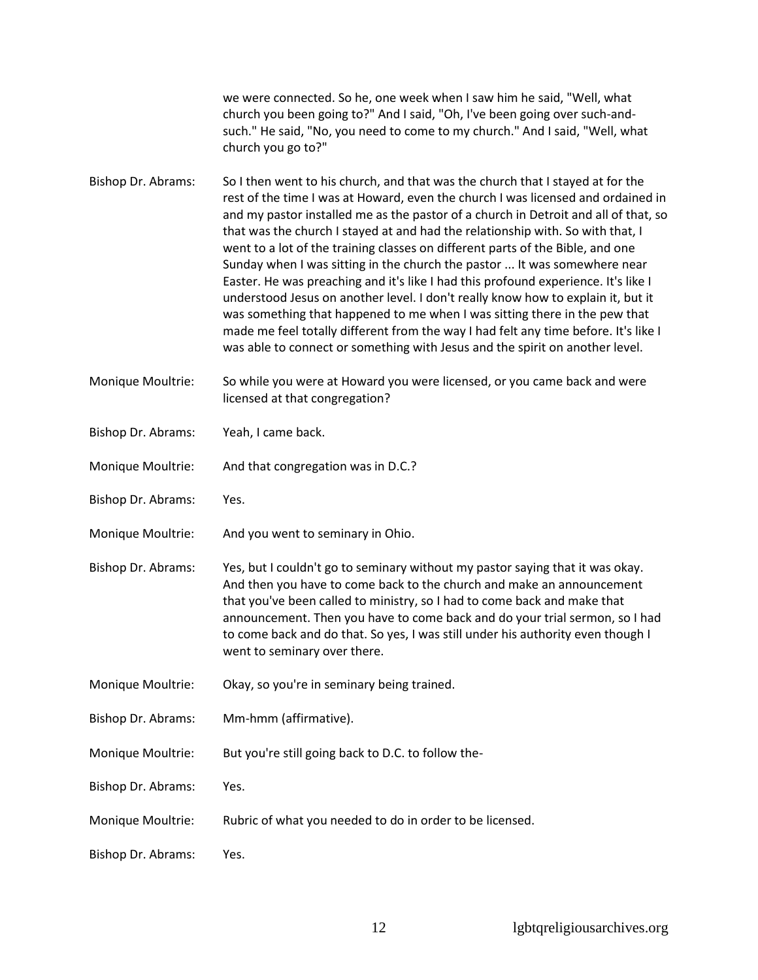we were connected. So he, one week when I saw him he said, "Well, what church you been going to?" And I said, "Oh, I've been going over such-andsuch." He said, "No, you need to come to my church." And I said, "Well, what church you go to?"

Bishop Dr. Abrams: So I then went to his church, and that was the church that I stayed at for the rest of the time I was at Howard, even the church I was licensed and ordained in and my pastor installed me as the pastor of a church in Detroit and all of that, so that was the church I stayed at and had the relationship with. So with that, I went to a lot of the training classes on different parts of the Bible, and one Sunday when I was sitting in the church the pastor ... It was somewhere near Easter. He was preaching and it's like I had this profound experience. It's like I understood Jesus on another level. I don't really know how to explain it, but it was something that happened to me when I was sitting there in the pew that made me feel totally different from the way I had felt any time before. It's like I was able to connect or something with Jesus and the spirit on another level.

Monique Moultrie: So while you were at Howard you were licensed, or you came back and were licensed at that congregation?

- Bishop Dr. Abrams: Yeah, I came back.
- Monique Moultrie: And that congregation was in D.C.?
- Bishop Dr. Abrams: Yes.
- Monique Moultrie: And you went to seminary in Ohio.
- Bishop Dr. Abrams: Yes, but I couldn't go to seminary without my pastor saying that it was okay. And then you have to come back to the church and make an announcement that you've been called to ministry, so I had to come back and make that announcement. Then you have to come back and do your trial sermon, so I had to come back and do that. So yes, I was still under his authority even though I went to seminary over there.
- Monique Moultrie: Okay, so you're in seminary being trained.
- Bishop Dr. Abrams: Mm-hmm (affirmative).
- Monique Moultrie: But you're still going back to D.C. to follow the-
- Bishop Dr. Abrams: Yes.
- Monique Moultrie: Rubric of what you needed to do in order to be licensed.
- Bishop Dr. Abrams: Yes.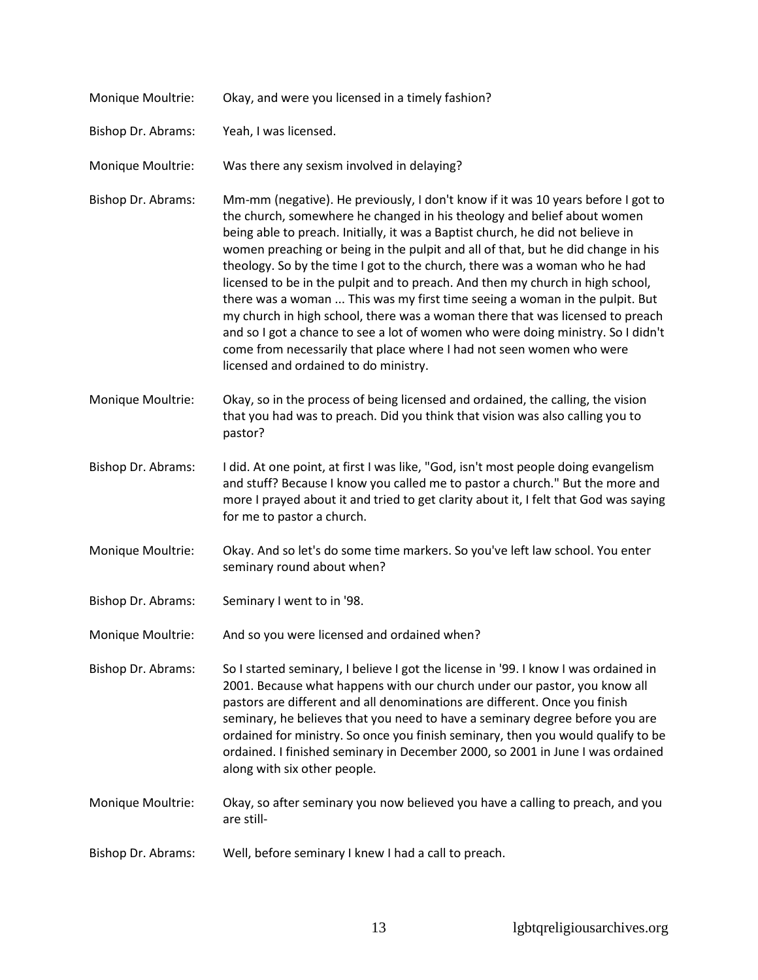| Monique Moultrie:  | Okay, and were you licensed in a timely fashion?                                                                                                                                                                                                                                                                                                                                                                                                                                                                                                                                                                                                                                                                                                                                                                                                                        |
|--------------------|-------------------------------------------------------------------------------------------------------------------------------------------------------------------------------------------------------------------------------------------------------------------------------------------------------------------------------------------------------------------------------------------------------------------------------------------------------------------------------------------------------------------------------------------------------------------------------------------------------------------------------------------------------------------------------------------------------------------------------------------------------------------------------------------------------------------------------------------------------------------------|
| Bishop Dr. Abrams: | Yeah, I was licensed.                                                                                                                                                                                                                                                                                                                                                                                                                                                                                                                                                                                                                                                                                                                                                                                                                                                   |
| Monique Moultrie:  | Was there any sexism involved in delaying?                                                                                                                                                                                                                                                                                                                                                                                                                                                                                                                                                                                                                                                                                                                                                                                                                              |
| Bishop Dr. Abrams: | Mm-mm (negative). He previously, I don't know if it was 10 years before I got to<br>the church, somewhere he changed in his theology and belief about women<br>being able to preach. Initially, it was a Baptist church, he did not believe in<br>women preaching or being in the pulpit and all of that, but he did change in his<br>theology. So by the time I got to the church, there was a woman who he had<br>licensed to be in the pulpit and to preach. And then my church in high school,<br>there was a woman  This was my first time seeing a woman in the pulpit. But<br>my church in high school, there was a woman there that was licensed to preach<br>and so I got a chance to see a lot of women who were doing ministry. So I didn't<br>come from necessarily that place where I had not seen women who were<br>licensed and ordained to do ministry. |
| Monique Moultrie:  | Okay, so in the process of being licensed and ordained, the calling, the vision<br>that you had was to preach. Did you think that vision was also calling you to<br>pastor?                                                                                                                                                                                                                                                                                                                                                                                                                                                                                                                                                                                                                                                                                             |
| Bishop Dr. Abrams: | I did. At one point, at first I was like, "God, isn't most people doing evangelism<br>and stuff? Because I know you called me to pastor a church." But the more and<br>more I prayed about it and tried to get clarity about it, I felt that God was saying<br>for me to pastor a church.                                                                                                                                                                                                                                                                                                                                                                                                                                                                                                                                                                               |
| Monique Moultrie:  | Okay. And so let's do some time markers. So you've left law school. You enter<br>seminary round about when?                                                                                                                                                                                                                                                                                                                                                                                                                                                                                                                                                                                                                                                                                                                                                             |
| Bishop Dr. Abrams: | Seminary I went to in '98.                                                                                                                                                                                                                                                                                                                                                                                                                                                                                                                                                                                                                                                                                                                                                                                                                                              |
| Monique Moultrie:  | And so you were licensed and ordained when?                                                                                                                                                                                                                                                                                                                                                                                                                                                                                                                                                                                                                                                                                                                                                                                                                             |
| Bishop Dr. Abrams: | So I started seminary, I believe I got the license in '99. I know I was ordained in<br>2001. Because what happens with our church under our pastor, you know all<br>pastors are different and all denominations are different. Once you finish<br>seminary, he believes that you need to have a seminary degree before you are<br>ordained for ministry. So once you finish seminary, then you would qualify to be<br>ordained. I finished seminary in December 2000, so 2001 in June I was ordained<br>along with six other people.                                                                                                                                                                                                                                                                                                                                    |
| Monique Moultrie:  | Okay, so after seminary you now believed you have a calling to preach, and you<br>are still-                                                                                                                                                                                                                                                                                                                                                                                                                                                                                                                                                                                                                                                                                                                                                                            |
| Bishop Dr. Abrams: | Well, before seminary I knew I had a call to preach.                                                                                                                                                                                                                                                                                                                                                                                                                                                                                                                                                                                                                                                                                                                                                                                                                    |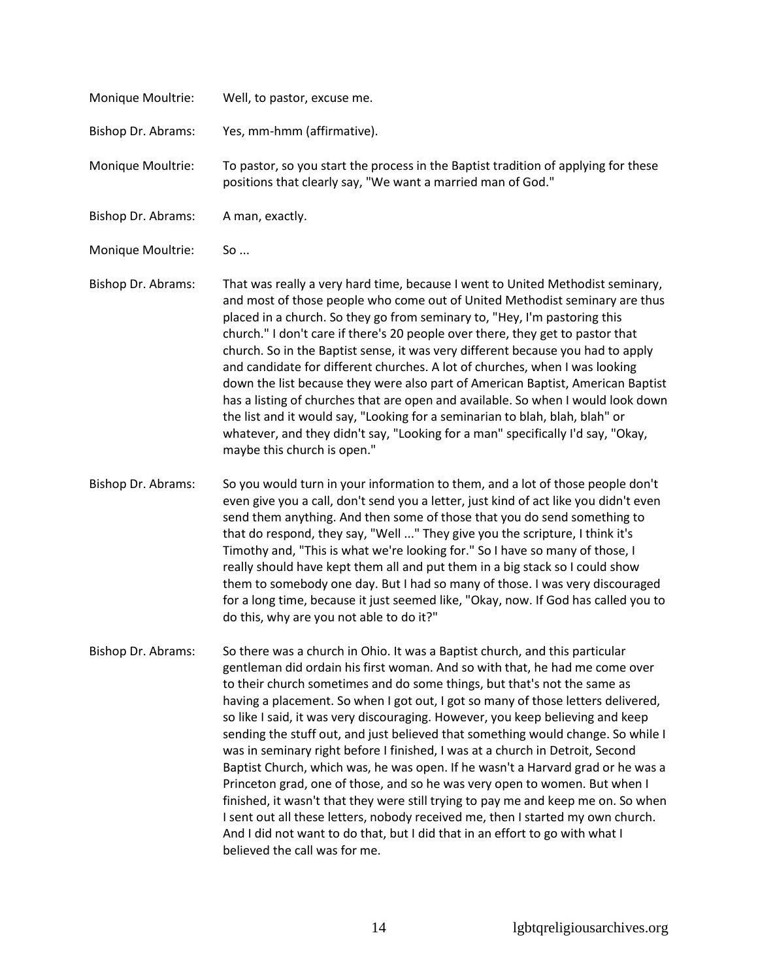| Monique Moultrie:  | Well, to pastor, excuse me.                                                                                                                                                                                                                                                                                                                                                                                                                                                                                                                                                                                                                                                                                                                                                                                                                                                                                                                                                                                                                 |
|--------------------|---------------------------------------------------------------------------------------------------------------------------------------------------------------------------------------------------------------------------------------------------------------------------------------------------------------------------------------------------------------------------------------------------------------------------------------------------------------------------------------------------------------------------------------------------------------------------------------------------------------------------------------------------------------------------------------------------------------------------------------------------------------------------------------------------------------------------------------------------------------------------------------------------------------------------------------------------------------------------------------------------------------------------------------------|
| Bishop Dr. Abrams: | Yes, mm-hmm (affirmative).                                                                                                                                                                                                                                                                                                                                                                                                                                                                                                                                                                                                                                                                                                                                                                                                                                                                                                                                                                                                                  |
| Monique Moultrie:  | To pastor, so you start the process in the Baptist tradition of applying for these<br>positions that clearly say, "We want a married man of God."                                                                                                                                                                                                                                                                                                                                                                                                                                                                                                                                                                                                                                                                                                                                                                                                                                                                                           |
| Bishop Dr. Abrams: | A man, exactly.                                                                                                                                                                                                                                                                                                                                                                                                                                                                                                                                                                                                                                                                                                                                                                                                                                                                                                                                                                                                                             |
| Monique Moultrie:  | So                                                                                                                                                                                                                                                                                                                                                                                                                                                                                                                                                                                                                                                                                                                                                                                                                                                                                                                                                                                                                                          |
| Bishop Dr. Abrams: | That was really a very hard time, because I went to United Methodist seminary,<br>and most of those people who come out of United Methodist seminary are thus<br>placed in a church. So they go from seminary to, "Hey, I'm pastoring this<br>church." I don't care if there's 20 people over there, they get to pastor that<br>church. So in the Baptist sense, it was very different because you had to apply<br>and candidate for different churches. A lot of churches, when I was looking<br>down the list because they were also part of American Baptist, American Baptist<br>has a listing of churches that are open and available. So when I would look down<br>the list and it would say, "Looking for a seminarian to blah, blah, blah" or<br>whatever, and they didn't say, "Looking for a man" specifically I'd say, "Okay,<br>maybe this church is open."                                                                                                                                                                     |
| Bishop Dr. Abrams: | So you would turn in your information to them, and a lot of those people don't<br>even give you a call, don't send you a letter, just kind of act like you didn't even<br>send them anything. And then some of those that you do send something to<br>that do respond, they say, "Well " They give you the scripture, I think it's<br>Timothy and, "This is what we're looking for." So I have so many of those, I<br>really should have kept them all and put them in a big stack so I could show<br>them to somebody one day. But I had so many of those. I was very discouraged<br>for a long time, because it just seemed like, "Okay, now. If God has called you to<br>do this, why are you not able to do it?"                                                                                                                                                                                                                                                                                                                        |
| Bishop Dr. Abrams: | So there was a church in Ohio. It was a Baptist church, and this particular<br>gentleman did ordain his first woman. And so with that, he had me come over<br>to their church sometimes and do some things, but that's not the same as<br>having a placement. So when I got out, I got so many of those letters delivered,<br>so like I said, it was very discouraging. However, you keep believing and keep<br>sending the stuff out, and just believed that something would change. So while I<br>was in seminary right before I finished, I was at a church in Detroit, Second<br>Baptist Church, which was, he was open. If he wasn't a Harvard grad or he was a<br>Princeton grad, one of those, and so he was very open to women. But when I<br>finished, it wasn't that they were still trying to pay me and keep me on. So when<br>I sent out all these letters, nobody received me, then I started my own church.<br>And I did not want to do that, but I did that in an effort to go with what I<br>believed the call was for me. |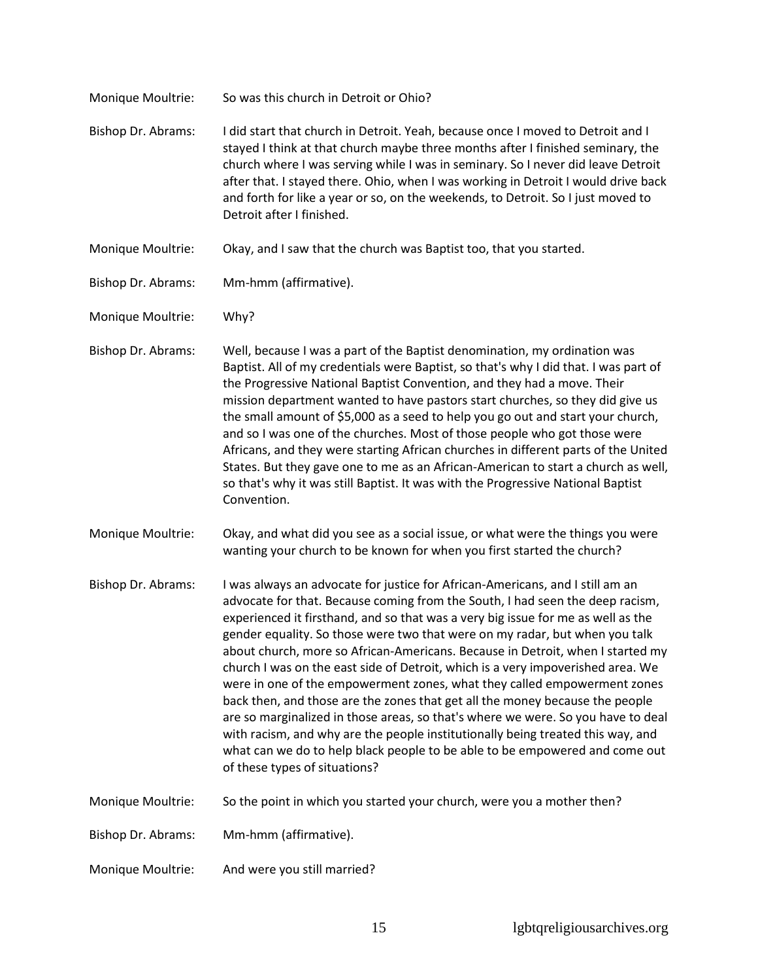| Monique Moultrie:  | So was this church in Detroit or Ohio?                                                                                                                                                                                                                                                                                                                                                                                                                                                                                                                                                                                                                                                                                                                                                                                                                                                                                                                    |
|--------------------|-----------------------------------------------------------------------------------------------------------------------------------------------------------------------------------------------------------------------------------------------------------------------------------------------------------------------------------------------------------------------------------------------------------------------------------------------------------------------------------------------------------------------------------------------------------------------------------------------------------------------------------------------------------------------------------------------------------------------------------------------------------------------------------------------------------------------------------------------------------------------------------------------------------------------------------------------------------|
| Bishop Dr. Abrams: | I did start that church in Detroit. Yeah, because once I moved to Detroit and I<br>stayed I think at that church maybe three months after I finished seminary, the<br>church where I was serving while I was in seminary. So I never did leave Detroit<br>after that. I stayed there. Ohio, when I was working in Detroit I would drive back<br>and forth for like a year or so, on the weekends, to Detroit. So I just moved to<br>Detroit after I finished.                                                                                                                                                                                                                                                                                                                                                                                                                                                                                             |
| Monique Moultrie:  | Okay, and I saw that the church was Baptist too, that you started.                                                                                                                                                                                                                                                                                                                                                                                                                                                                                                                                                                                                                                                                                                                                                                                                                                                                                        |
| Bishop Dr. Abrams: | Mm-hmm (affirmative).                                                                                                                                                                                                                                                                                                                                                                                                                                                                                                                                                                                                                                                                                                                                                                                                                                                                                                                                     |
| Monique Moultrie:  | Why?                                                                                                                                                                                                                                                                                                                                                                                                                                                                                                                                                                                                                                                                                                                                                                                                                                                                                                                                                      |
| Bishop Dr. Abrams: | Well, because I was a part of the Baptist denomination, my ordination was<br>Baptist. All of my credentials were Baptist, so that's why I did that. I was part of<br>the Progressive National Baptist Convention, and they had a move. Their<br>mission department wanted to have pastors start churches, so they did give us<br>the small amount of \$5,000 as a seed to help you go out and start your church,<br>and so I was one of the churches. Most of those people who got those were<br>Africans, and they were starting African churches in different parts of the United<br>States. But they gave one to me as an African-American to start a church as well,<br>so that's why it was still Baptist. It was with the Progressive National Baptist<br>Convention.                                                                                                                                                                               |
| Monique Moultrie:  | Okay, and what did you see as a social issue, or what were the things you were<br>wanting your church to be known for when you first started the church?                                                                                                                                                                                                                                                                                                                                                                                                                                                                                                                                                                                                                                                                                                                                                                                                  |
| Bishop Dr. Abrams: | I was always an advocate for justice for African-Americans, and I still am an<br>advocate for that. Because coming from the South, I had seen the deep racism,<br>experienced it firsthand, and so that was a very big issue for me as well as the<br>gender equality. So those were two that were on my radar, but when you talk<br>about church, more so African-Americans. Because in Detroit, when I started my<br>church I was on the east side of Detroit, which is a very impoverished area. We<br>were in one of the empowerment zones, what they called empowerment zones<br>back then, and those are the zones that get all the money because the people<br>are so marginalized in those areas, so that's where we were. So you have to deal<br>with racism, and why are the people institutionally being treated this way, and<br>what can we do to help black people to be able to be empowered and come out<br>of these types of situations? |
| Monique Moultrie:  | So the point in which you started your church, were you a mother then?                                                                                                                                                                                                                                                                                                                                                                                                                                                                                                                                                                                                                                                                                                                                                                                                                                                                                    |
| Bishop Dr. Abrams: | Mm-hmm (affirmative).                                                                                                                                                                                                                                                                                                                                                                                                                                                                                                                                                                                                                                                                                                                                                                                                                                                                                                                                     |
| Monique Moultrie:  | And were you still married?                                                                                                                                                                                                                                                                                                                                                                                                                                                                                                                                                                                                                                                                                                                                                                                                                                                                                                                               |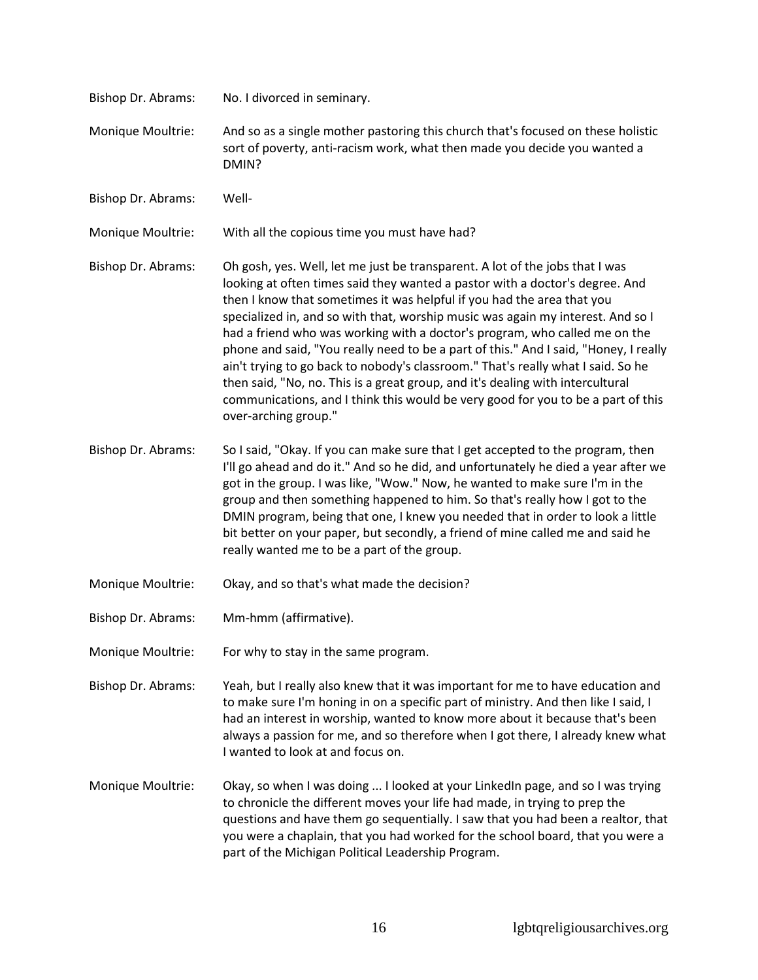| Bishop Dr. Abrams: | No. I divorced in seminary.                                                                                                                                                                                                                                                                                                                                                                                                                                                                                                                                                                                                                                                                                                                                                       |
|--------------------|-----------------------------------------------------------------------------------------------------------------------------------------------------------------------------------------------------------------------------------------------------------------------------------------------------------------------------------------------------------------------------------------------------------------------------------------------------------------------------------------------------------------------------------------------------------------------------------------------------------------------------------------------------------------------------------------------------------------------------------------------------------------------------------|
| Monique Moultrie:  | And so as a single mother pastoring this church that's focused on these holistic<br>sort of poverty, anti-racism work, what then made you decide you wanted a<br>DMIN?                                                                                                                                                                                                                                                                                                                                                                                                                                                                                                                                                                                                            |
| Bishop Dr. Abrams: | Well-                                                                                                                                                                                                                                                                                                                                                                                                                                                                                                                                                                                                                                                                                                                                                                             |
| Monique Moultrie:  | With all the copious time you must have had?                                                                                                                                                                                                                                                                                                                                                                                                                                                                                                                                                                                                                                                                                                                                      |
| Bishop Dr. Abrams: | Oh gosh, yes. Well, let me just be transparent. A lot of the jobs that I was<br>looking at often times said they wanted a pastor with a doctor's degree. And<br>then I know that sometimes it was helpful if you had the area that you<br>specialized in, and so with that, worship music was again my interest. And so I<br>had a friend who was working with a doctor's program, who called me on the<br>phone and said, "You really need to be a part of this." And I said, "Honey, I really<br>ain't trying to go back to nobody's classroom." That's really what I said. So he<br>then said, "No, no. This is a great group, and it's dealing with intercultural<br>communications, and I think this would be very good for you to be a part of this<br>over-arching group." |
| Bishop Dr. Abrams: | So I said, "Okay. If you can make sure that I get accepted to the program, then<br>I'll go ahead and do it." And so he did, and unfortunately he died a year after we<br>got in the group. I was like, "Wow." Now, he wanted to make sure I'm in the<br>group and then something happened to him. So that's really how I got to the<br>DMIN program, being that one, I knew you needed that in order to look a little<br>bit better on your paper, but secondly, a friend of mine called me and said he<br>really wanted me to be a part of the group.                                                                                                                                                                                                                            |
| Monique Moultrie:  | Okay, and so that's what made the decision?                                                                                                                                                                                                                                                                                                                                                                                                                                                                                                                                                                                                                                                                                                                                       |
| Bishop Dr. Abrams: | Mm-hmm (affirmative).                                                                                                                                                                                                                                                                                                                                                                                                                                                                                                                                                                                                                                                                                                                                                             |
| Monique Moultrie:  | For why to stay in the same program.                                                                                                                                                                                                                                                                                                                                                                                                                                                                                                                                                                                                                                                                                                                                              |
| Bishop Dr. Abrams: | Yeah, but I really also knew that it was important for me to have education and<br>to make sure I'm honing in on a specific part of ministry. And then like I said, I<br>had an interest in worship, wanted to know more about it because that's been<br>always a passion for me, and so therefore when I got there, I already knew what<br>I wanted to look at and focus on.                                                                                                                                                                                                                                                                                                                                                                                                     |
| Monique Moultrie:  | Okay, so when I was doing  I looked at your LinkedIn page, and so I was trying<br>to chronicle the different moves your life had made, in trying to prep the<br>questions and have them go sequentially. I saw that you had been a realtor, that<br>you were a chaplain, that you had worked for the school board, that you were a<br>part of the Michigan Political Leadership Program.                                                                                                                                                                                                                                                                                                                                                                                          |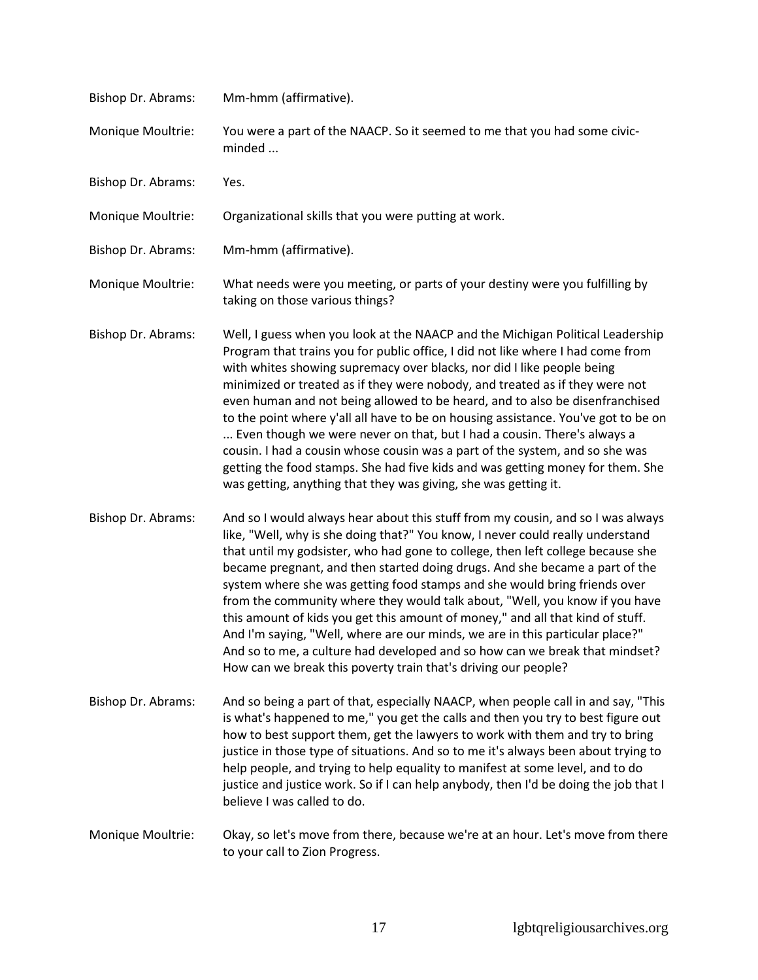| Bishop Dr. Abrams: | Mm-hmm (affirmative).                                                                                                                                                                                                                                                                                                                                                                                                                                                                                                                                                                                                                                                                                                                                                                                               |
|--------------------|---------------------------------------------------------------------------------------------------------------------------------------------------------------------------------------------------------------------------------------------------------------------------------------------------------------------------------------------------------------------------------------------------------------------------------------------------------------------------------------------------------------------------------------------------------------------------------------------------------------------------------------------------------------------------------------------------------------------------------------------------------------------------------------------------------------------|
| Monique Moultrie:  | You were a part of the NAACP. So it seemed to me that you had some civic-<br>minded                                                                                                                                                                                                                                                                                                                                                                                                                                                                                                                                                                                                                                                                                                                                 |
| Bishop Dr. Abrams: | Yes.                                                                                                                                                                                                                                                                                                                                                                                                                                                                                                                                                                                                                                                                                                                                                                                                                |
| Monique Moultrie:  | Organizational skills that you were putting at work.                                                                                                                                                                                                                                                                                                                                                                                                                                                                                                                                                                                                                                                                                                                                                                |
| Bishop Dr. Abrams: | Mm-hmm (affirmative).                                                                                                                                                                                                                                                                                                                                                                                                                                                                                                                                                                                                                                                                                                                                                                                               |
| Monique Moultrie:  | What needs were you meeting, or parts of your destiny were you fulfilling by<br>taking on those various things?                                                                                                                                                                                                                                                                                                                                                                                                                                                                                                                                                                                                                                                                                                     |
| Bishop Dr. Abrams: | Well, I guess when you look at the NAACP and the Michigan Political Leadership<br>Program that trains you for public office, I did not like where I had come from<br>with whites showing supremacy over blacks, nor did I like people being<br>minimized or treated as if they were nobody, and treated as if they were not<br>even human and not being allowed to be heard, and to also be disenfranchised<br>to the point where y'all all have to be on housing assistance. You've got to be on<br>Even though we were never on that, but I had a cousin. There's always a<br>cousin. I had a cousin whose cousin was a part of the system, and so she was<br>getting the food stamps. She had five kids and was getting money for them. She<br>was getting, anything that they was giving, she was getting it.   |
| Bishop Dr. Abrams: | And so I would always hear about this stuff from my cousin, and so I was always<br>like, "Well, why is she doing that?" You know, I never could really understand<br>that until my godsister, who had gone to college, then left college because she<br>became pregnant, and then started doing drugs. And she became a part of the<br>system where she was getting food stamps and she would bring friends over<br>from the community where they would talk about, "Well, you know if you have<br>this amount of kids you get this amount of money," and all that kind of stuff.<br>And I'm saying, "Well, where are our minds, we are in this particular place?"<br>And so to me, a culture had developed and so how can we break that mindset?<br>How can we break this poverty train that's driving our people? |
| Bishop Dr. Abrams: | And so being a part of that, especially NAACP, when people call in and say, "This<br>is what's happened to me," you get the calls and then you try to best figure out<br>how to best support them, get the lawyers to work with them and try to bring<br>justice in those type of situations. And so to me it's always been about trying to<br>help people, and trying to help equality to manifest at some level, and to do<br>justice and justice work. So if I can help anybody, then I'd be doing the job that I<br>believe I was called to do.                                                                                                                                                                                                                                                                 |
| Monique Moultrie:  | Okay, so let's move from there, because we're at an hour. Let's move from there<br>to your call to Zion Progress.                                                                                                                                                                                                                                                                                                                                                                                                                                                                                                                                                                                                                                                                                                   |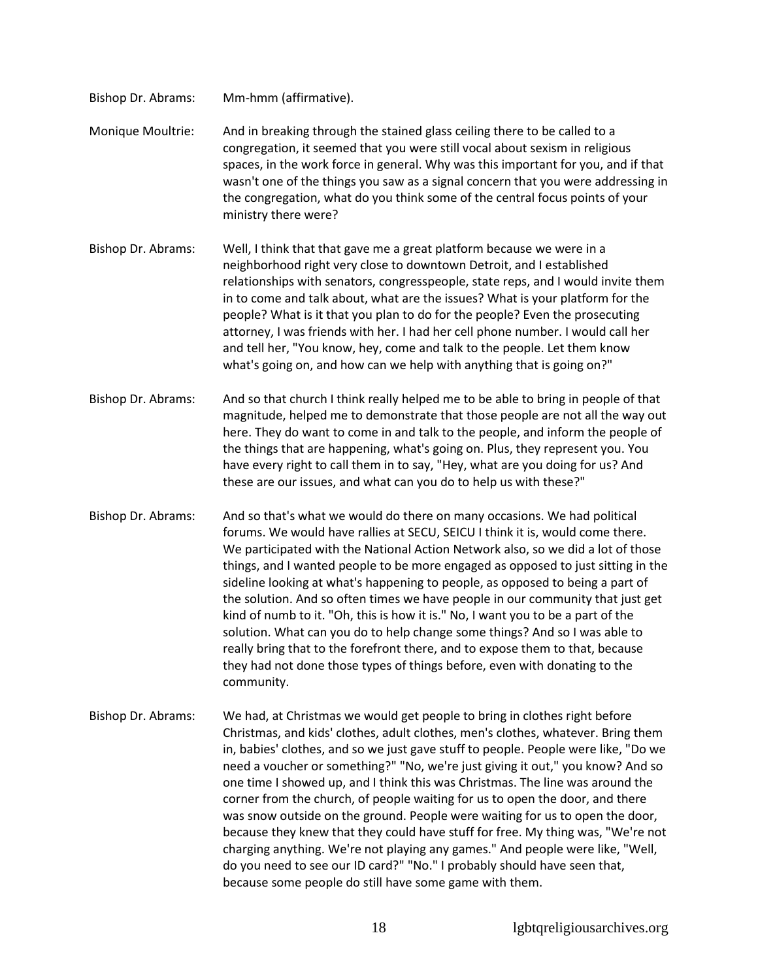Bishop Dr. Abrams: Mm-hmm (affirmative).

Monique Moultrie: And in breaking through the stained glass ceiling there to be called to a congregation, it seemed that you were still vocal about sexism in religious spaces, in the work force in general. Why was this important for you, and if that wasn't one of the things you saw as a signal concern that you were addressing in the congregation, what do you think some of the central focus points of your ministry there were?

- Bishop Dr. Abrams: Well, I think that that gave me a great platform because we were in a neighborhood right very close to downtown Detroit, and I established relationships with senators, congresspeople, state reps, and I would invite them in to come and talk about, what are the issues? What is your platform for the people? What is it that you plan to do for the people? Even the prosecuting attorney, I was friends with her. I had her cell phone number. I would call her and tell her, "You know, hey, come and talk to the people. Let them know what's going on, and how can we help with anything that is going on?"
- Bishop Dr. Abrams: And so that church I think really helped me to be able to bring in people of that magnitude, helped me to demonstrate that those people are not all the way out here. They do want to come in and talk to the people, and inform the people of the things that are happening, what's going on. Plus, they represent you. You have every right to call them in to say, "Hey, what are you doing for us? And these are our issues, and what can you do to help us with these?"
- Bishop Dr. Abrams: And so that's what we would do there on many occasions. We had political forums. We would have rallies at SECU, SEICU I think it is, would come there. We participated with the National Action Network also, so we did a lot of those things, and I wanted people to be more engaged as opposed to just sitting in the sideline looking at what's happening to people, as opposed to being a part of the solution. And so often times we have people in our community that just get kind of numb to it. "Oh, this is how it is." No, I want you to be a part of the solution. What can you do to help change some things? And so I was able to really bring that to the forefront there, and to expose them to that, because they had not done those types of things before, even with donating to the community.
- Bishop Dr. Abrams: We had, at Christmas we would get people to bring in clothes right before Christmas, and kids' clothes, adult clothes, men's clothes, whatever. Bring them in, babies' clothes, and so we just gave stuff to people. People were like, "Do we need a voucher or something?" "No, we're just giving it out," you know? And so one time I showed up, and I think this was Christmas. The line was around the corner from the church, of people waiting for us to open the door, and there was snow outside on the ground. People were waiting for us to open the door, because they knew that they could have stuff for free. My thing was, "We're not charging anything. We're not playing any games." And people were like, "Well, do you need to see our ID card?" "No." I probably should have seen that, because some people do still have some game with them.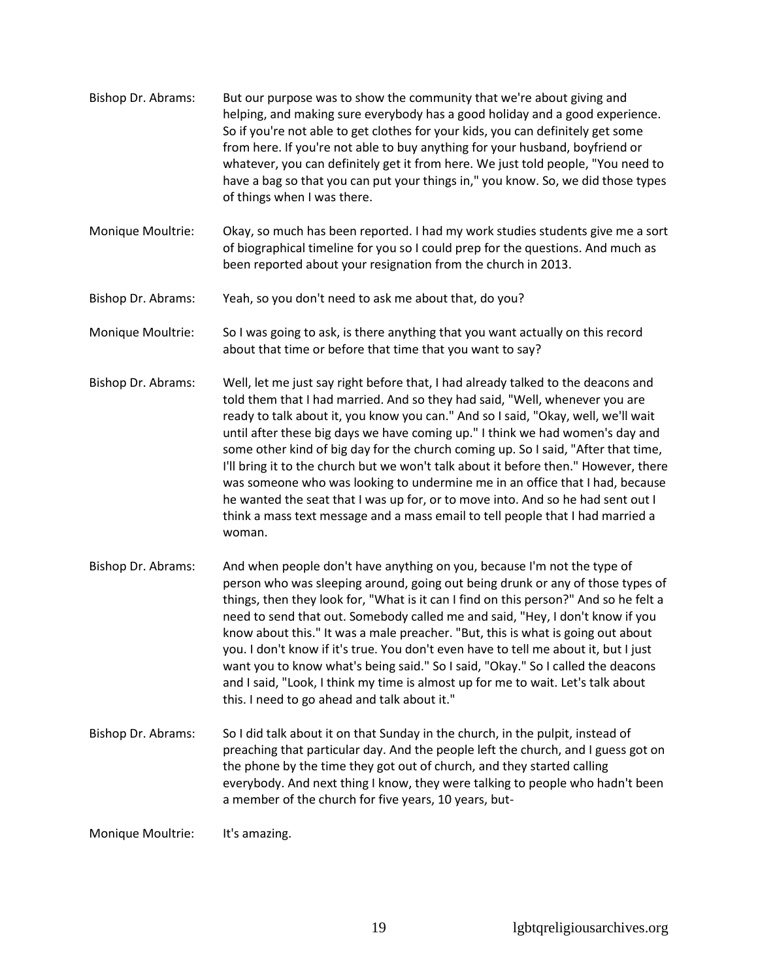- Bishop Dr. Abrams: But our purpose was to show the community that we're about giving and helping, and making sure everybody has a good holiday and a good experience. So if you're not able to get clothes for your kids, you can definitely get some from here. If you're not able to buy anything for your husband, boyfriend or whatever, you can definitely get it from here. We just told people, "You need to have a bag so that you can put your things in," you know. So, we did those types of things when I was there.
- Monique Moultrie: Okay, so much has been reported. I had my work studies students give me a sort of biographical timeline for you so I could prep for the questions. And much as been reported about your resignation from the church in 2013.
- Bishop Dr. Abrams: Yeah, so you don't need to ask me about that, do you?
- Monique Moultrie: So I was going to ask, is there anything that you want actually on this record about that time or before that time that you want to say?
- Bishop Dr. Abrams: Well, let me just say right before that, I had already talked to the deacons and told them that I had married. And so they had said, "Well, whenever you are ready to talk about it, you know you can." And so I said, "Okay, well, we'll wait until after these big days we have coming up." I think we had women's day and some other kind of big day for the church coming up. So I said, "After that time, I'll bring it to the church but we won't talk about it before then." However, there was someone who was looking to undermine me in an office that I had, because he wanted the seat that I was up for, or to move into. And so he had sent out I think a mass text message and a mass email to tell people that I had married a woman.
- Bishop Dr. Abrams: And when people don't have anything on you, because I'm not the type of person who was sleeping around, going out being drunk or any of those types of things, then they look for, "What is it can I find on this person?" And so he felt a need to send that out. Somebody called me and said, "Hey, I don't know if you know about this." It was a male preacher. "But, this is what is going out about you. I don't know if it's true. You don't even have to tell me about it, but I just want you to know what's being said." So I said, "Okay." So I called the deacons and I said, "Look, I think my time is almost up for me to wait. Let's talk about this. I need to go ahead and talk about it."
- Bishop Dr. Abrams: So I did talk about it on that Sunday in the church, in the pulpit, instead of preaching that particular day. And the people left the church, and I guess got on the phone by the time they got out of church, and they started calling everybody. And next thing I know, they were talking to people who hadn't been a member of the church for five years, 10 years, but-

Monique Moultrie: It's amazing.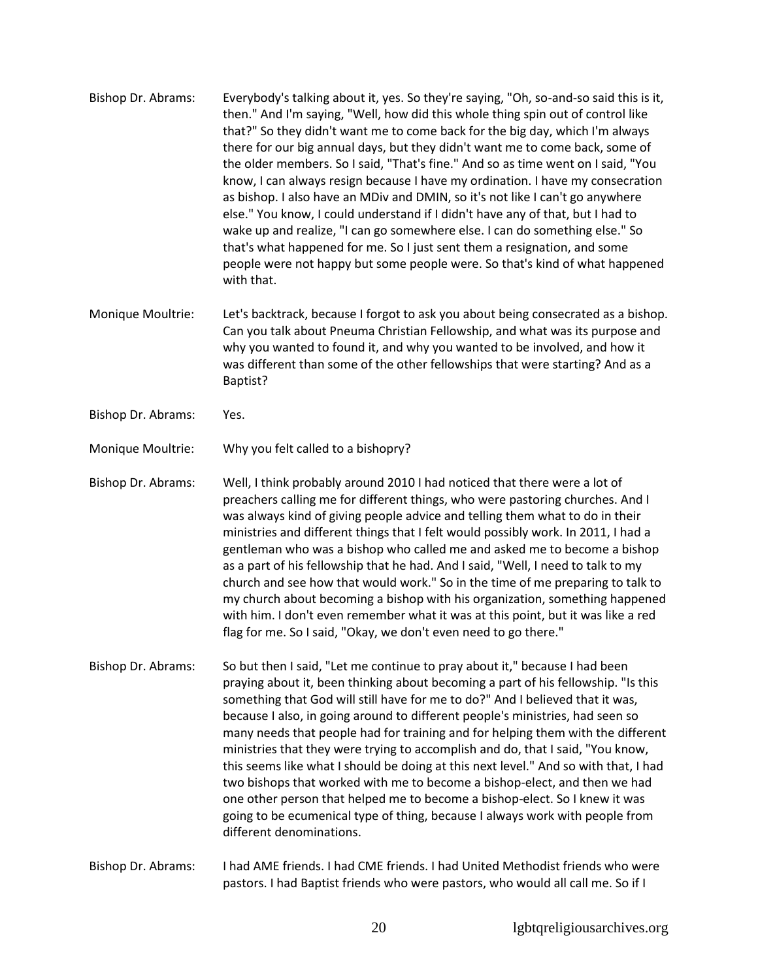- Bishop Dr. Abrams: Everybody's talking about it, yes. So they're saying, "Oh, so-and-so said this is it, then." And I'm saying, "Well, how did this whole thing spin out of control like that?" So they didn't want me to come back for the big day, which I'm always there for our big annual days, but they didn't want me to come back, some of the older members. So I said, "That's fine." And so as time went on I said, "You know, I can always resign because I have my ordination. I have my consecration as bishop. I also have an MDiv and DMIN, so it's not like I can't go anywhere else." You know, I could understand if I didn't have any of that, but I had to wake up and realize, "I can go somewhere else. I can do something else." So that's what happened for me. So I just sent them a resignation, and some people were not happy but some people were. So that's kind of what happened with that.
- Monique Moultrie: Let's backtrack, because I forgot to ask you about being consecrated as a bishop. Can you talk about Pneuma Christian Fellowship, and what was its purpose and why you wanted to found it, and why you wanted to be involved, and how it was different than some of the other fellowships that were starting? And as a Baptist?
- Bishop Dr. Abrams: Yes.

Monique Moultrie: Why you felt called to a bishopry?

Bishop Dr. Abrams: Well, I think probably around 2010 I had noticed that there were a lot of preachers calling me for different things, who were pastoring churches. And I was always kind of giving people advice and telling them what to do in their ministries and different things that I felt would possibly work. In 2011, I had a gentleman who was a bishop who called me and asked me to become a bishop as a part of his fellowship that he had. And I said, "Well, I need to talk to my church and see how that would work." So in the time of me preparing to talk to my church about becoming a bishop with his organization, something happened with him. I don't even remember what it was at this point, but it was like a red flag for me. So I said, "Okay, we don't even need to go there."

Bishop Dr. Abrams: So but then I said, "Let me continue to pray about it," because I had been praying about it, been thinking about becoming a part of his fellowship. "Is this something that God will still have for me to do?" And I believed that it was, because I also, in going around to different people's ministries, had seen so many needs that people had for training and for helping them with the different ministries that they were trying to accomplish and do, that I said, "You know, this seems like what I should be doing at this next level." And so with that, I had two bishops that worked with me to become a bishop-elect, and then we had one other person that helped me to become a bishop-elect. So I knew it was going to be ecumenical type of thing, because I always work with people from different denominations.

Bishop Dr. Abrams: I had AME friends. I had CME friends. I had United Methodist friends who were pastors. I had Baptist friends who were pastors, who would all call me. So if I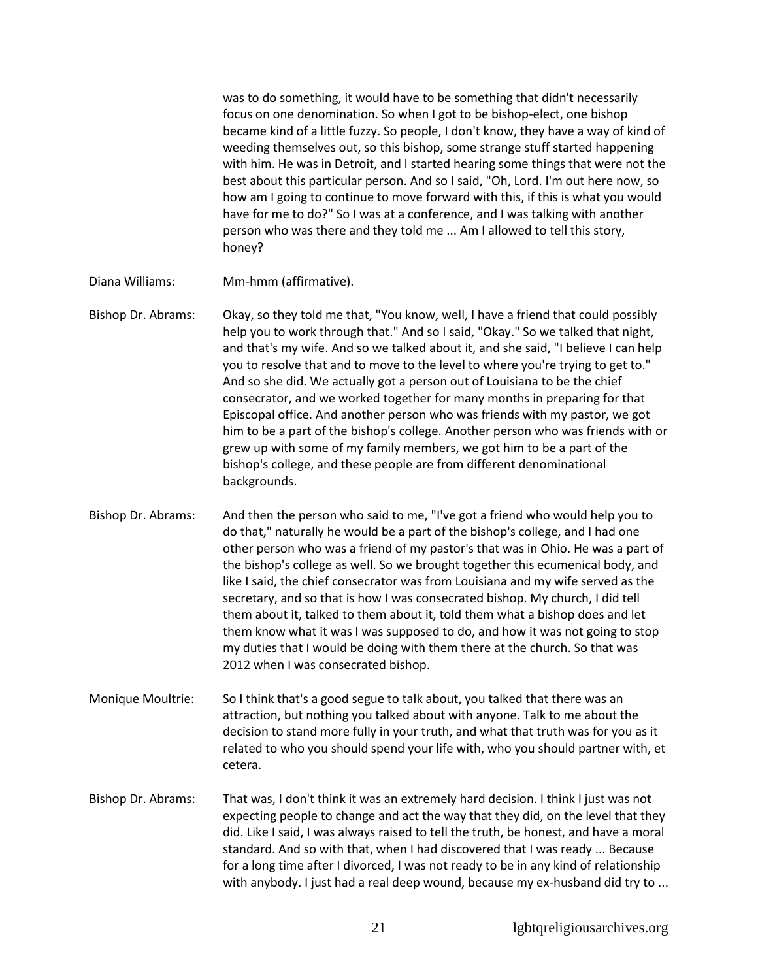was to do something, it would have to be something that didn't necessarily focus on one denomination. So when I got to be bishop-elect, one bishop became kind of a little fuzzy. So people, I don't know, they have a way of kind of weeding themselves out, so this bishop, some strange stuff started happening with him. He was in Detroit, and I started hearing some things that were not the best about this particular person. And so I said, "Oh, Lord. I'm out here now, so how am I going to continue to move forward with this, if this is what you would have for me to do?" So I was at a conference, and I was talking with another person who was there and they told me ... Am I allowed to tell this story, honey?

- Diana Williams: Mm-hmm (affirmative).
- Bishop Dr. Abrams: Okay, so they told me that, "You know, well, I have a friend that could possibly help you to work through that." And so I said, "Okay." So we talked that night, and that's my wife. And so we talked about it, and she said, "I believe I can help you to resolve that and to move to the level to where you're trying to get to." And so she did. We actually got a person out of Louisiana to be the chief consecrator, and we worked together for many months in preparing for that Episcopal office. And another person who was friends with my pastor, we got him to be a part of the bishop's college. Another person who was friends with or grew up with some of my family members, we got him to be a part of the bishop's college, and these people are from different denominational backgrounds.
- Bishop Dr. Abrams: And then the person who said to me, "I've got a friend who would help you to do that," naturally he would be a part of the bishop's college, and I had one other person who was a friend of my pastor's that was in Ohio. He was a part of the bishop's college as well. So we brought together this ecumenical body, and like I said, the chief consecrator was from Louisiana and my wife served as the secretary, and so that is how I was consecrated bishop. My church, I did tell them about it, talked to them about it, told them what a bishop does and let them know what it was I was supposed to do, and how it was not going to stop my duties that I would be doing with them there at the church. So that was 2012 when I was consecrated bishop.
- Monique Moultrie: So I think that's a good segue to talk about, you talked that there was an attraction, but nothing you talked about with anyone. Talk to me about the decision to stand more fully in your truth, and what that truth was for you as it related to who you should spend your life with, who you should partner with, et cetera.
- Bishop Dr. Abrams: That was, I don't think it was an extremely hard decision. I think I just was not expecting people to change and act the way that they did, on the level that they did. Like I said, I was always raised to tell the truth, be honest, and have a moral standard. And so with that, when I had discovered that I was ready ... Because for a long time after I divorced, I was not ready to be in any kind of relationship with anybody. I just had a real deep wound, because my ex-husband did try to ...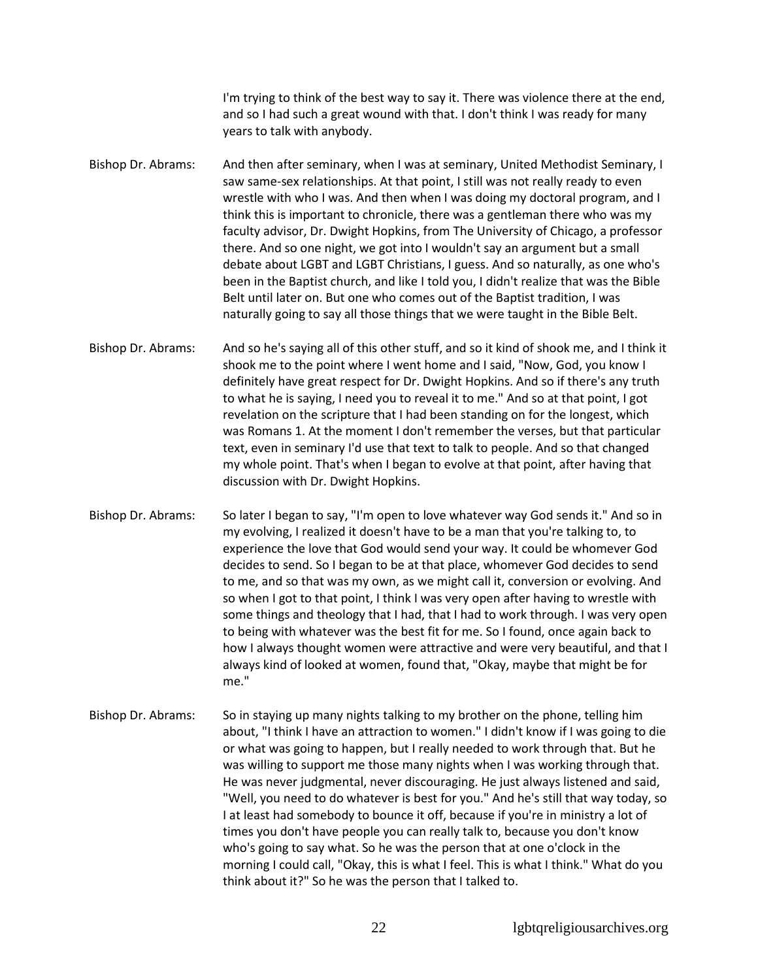I'm trying to think of the best way to say it. There was violence there at the end, and so I had such a great wound with that. I don't think I was ready for many years to talk with anybody.

Bishop Dr. Abrams: And then after seminary, when I was at seminary, United Methodist Seminary, I saw same-sex relationships. At that point, I still was not really ready to even wrestle with who I was. And then when I was doing my doctoral program, and I think this is important to chronicle, there was a gentleman there who was my faculty advisor, Dr. Dwight Hopkins, from The University of Chicago, a professor there. And so one night, we got into I wouldn't say an argument but a small debate about LGBT and LGBT Christians, I guess. And so naturally, as one who's been in the Baptist church, and like I told you, I didn't realize that was the Bible Belt until later on. But one who comes out of the Baptist tradition, I was naturally going to say all those things that we were taught in the Bible Belt.

Bishop Dr. Abrams: And so he's saying all of this other stuff, and so it kind of shook me, and I think it shook me to the point where I went home and I said, "Now, God, you know I definitely have great respect for Dr. Dwight Hopkins. And so if there's any truth to what he is saying, I need you to reveal it to me." And so at that point, I got revelation on the scripture that I had been standing on for the longest, which was Romans 1. At the moment I don't remember the verses, but that particular text, even in seminary I'd use that text to talk to people. And so that changed my whole point. That's when I began to evolve at that point, after having that discussion with Dr. Dwight Hopkins.

Bishop Dr. Abrams: So later I began to say, "I'm open to love whatever way God sends it." And so in my evolving, I realized it doesn't have to be a man that you're talking to, to experience the love that God would send your way. It could be whomever God decides to send. So I began to be at that place, whomever God decides to send to me, and so that was my own, as we might call it, conversion or evolving. And so when I got to that point, I think I was very open after having to wrestle with some things and theology that I had, that I had to work through. I was very open to being with whatever was the best fit for me. So I found, once again back to how I always thought women were attractive and were very beautiful, and that I always kind of looked at women, found that, "Okay, maybe that might be for me."

Bishop Dr. Abrams: So in staying up many nights talking to my brother on the phone, telling him about, "I think I have an attraction to women." I didn't know if I was going to die or what was going to happen, but I really needed to work through that. But he was willing to support me those many nights when I was working through that. He was never judgmental, never discouraging. He just always listened and said, "Well, you need to do whatever is best for you." And he's still that way today, so I at least had somebody to bounce it off, because if you're in ministry a lot of times you don't have people you can really talk to, because you don't know who's going to say what. So he was the person that at one o'clock in the morning I could call, "Okay, this is what I feel. This is what I think." What do you think about it?" So he was the person that I talked to.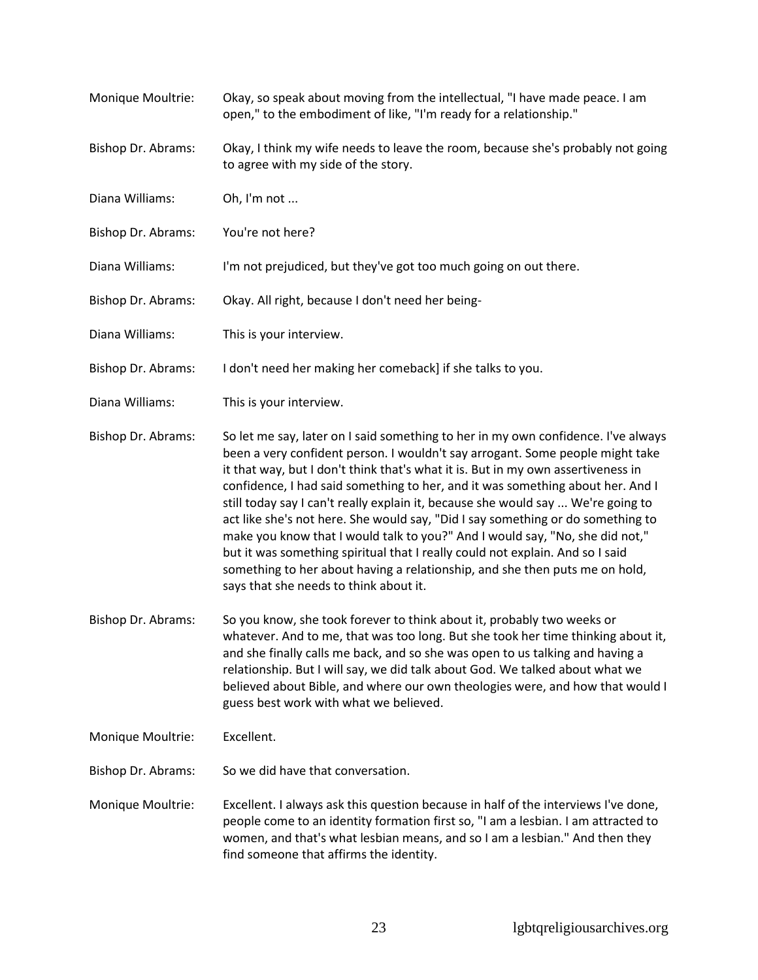Monique Moultrie: Okay, so speak about moving from the intellectual, "I have made peace. I am open," to the embodiment of like, "I'm ready for a relationship." Bishop Dr. Abrams: Okay, I think my wife needs to leave the room, because she's probably not going to agree with my side of the story. Diana Williams: Oh, I'm not ... Bishop Dr. Abrams: You're not here? Diana Williams: I'm not prejudiced, but they've got too much going on out there. Bishop Dr. Abrams: Okay. All right, because I don't need her being-Diana Williams: This is your interview. Bishop Dr. Abrams: I don't need her making her comeback] if she talks to you. Diana Williams: This is your interview. Bishop Dr. Abrams: So let me say, later on I said something to her in my own confidence. I've always been a very confident person. I wouldn't say arrogant. Some people might take it that way, but I don't think that's what it is. But in my own assertiveness in confidence, I had said something to her, and it was something about her. And I still today say I can't really explain it, because she would say ... We're going to act like she's not here. She would say, "Did I say something or do something to make you know that I would talk to you?" And I would say, "No, she did not," but it was something spiritual that I really could not explain. And so I said something to her about having a relationship, and she then puts me on hold, says that she needs to think about it. Bishop Dr. Abrams: So you know, she took forever to think about it, probably two weeks or whatever. And to me, that was too long. But she took her time thinking about it, and she finally calls me back, and so she was open to us talking and having a relationship. But I will say, we did talk about God. We talked about what we believed about Bible, and where our own theologies were, and how that would I guess best work with what we believed. Monique Moultrie: Excellent. Bishop Dr. Abrams: So we did have that conversation. Monique Moultrie: Excellent. I always ask this question because in half of the interviews I've done, people come to an identity formation first so, "I am a lesbian. I am attracted to women, and that's what lesbian means, and so I am a lesbian." And then they find someone that affirms the identity.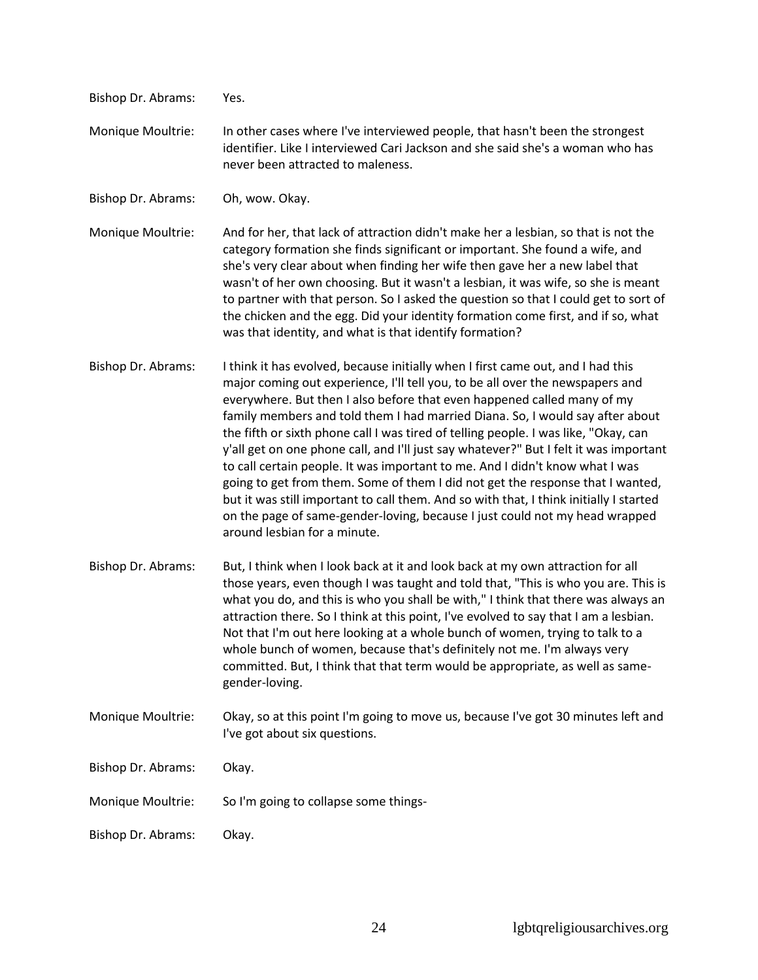| Bishop Dr. Abrams: | Yes.                                                                                                                                                                                                                                                                                                                                                                                                                                                                                                                                                                                                                                                                                                                                                                                                                                                                                    |
|--------------------|-----------------------------------------------------------------------------------------------------------------------------------------------------------------------------------------------------------------------------------------------------------------------------------------------------------------------------------------------------------------------------------------------------------------------------------------------------------------------------------------------------------------------------------------------------------------------------------------------------------------------------------------------------------------------------------------------------------------------------------------------------------------------------------------------------------------------------------------------------------------------------------------|
| Monique Moultrie:  | In other cases where I've interviewed people, that hasn't been the strongest<br>identifier. Like I interviewed Cari Jackson and she said she's a woman who has<br>never been attracted to maleness.                                                                                                                                                                                                                                                                                                                                                                                                                                                                                                                                                                                                                                                                                     |
| Bishop Dr. Abrams: | Oh, wow. Okay.                                                                                                                                                                                                                                                                                                                                                                                                                                                                                                                                                                                                                                                                                                                                                                                                                                                                          |
| Monique Moultrie:  | And for her, that lack of attraction didn't make her a lesbian, so that is not the<br>category formation she finds significant or important. She found a wife, and<br>she's very clear about when finding her wife then gave her a new label that<br>wasn't of her own choosing. But it wasn't a lesbian, it was wife, so she is meant<br>to partner with that person. So I asked the question so that I could get to sort of<br>the chicken and the egg. Did your identity formation come first, and if so, what<br>was that identity, and what is that identify formation?                                                                                                                                                                                                                                                                                                            |
| Bishop Dr. Abrams: | I think it has evolved, because initially when I first came out, and I had this<br>major coming out experience, I'll tell you, to be all over the newspapers and<br>everywhere. But then I also before that even happened called many of my<br>family members and told them I had married Diana. So, I would say after about<br>the fifth or sixth phone call I was tired of telling people. I was like, "Okay, can<br>y'all get on one phone call, and I'll just say whatever?" But I felt it was important<br>to call certain people. It was important to me. And I didn't know what I was<br>going to get from them. Some of them I did not get the response that I wanted,<br>but it was still important to call them. And so with that, I think initially I started<br>on the page of same-gender-loving, because I just could not my head wrapped<br>around lesbian for a minute. |
| Bishop Dr. Abrams: | But, I think when I look back at it and look back at my own attraction for all<br>those years, even though I was taught and told that, "This is who you are. This is<br>what you do, and this is who you shall be with," I think that there was always an<br>attraction there. So I think at this point, I've evolved to say that I am a lesbian.<br>Not that I'm out here looking at a whole bunch of women, trying to talk to a<br>whole bunch of women, because that's definitely not me. I'm always very<br>committed. But, I think that that term would be appropriate, as well as same-<br>gender-loving.                                                                                                                                                                                                                                                                         |
| Monique Moultrie:  | Okay, so at this point I'm going to move us, because I've got 30 minutes left and<br>I've got about six questions.                                                                                                                                                                                                                                                                                                                                                                                                                                                                                                                                                                                                                                                                                                                                                                      |
| Bishop Dr. Abrams: | Okay.                                                                                                                                                                                                                                                                                                                                                                                                                                                                                                                                                                                                                                                                                                                                                                                                                                                                                   |
| Monique Moultrie:  | So I'm going to collapse some things-                                                                                                                                                                                                                                                                                                                                                                                                                                                                                                                                                                                                                                                                                                                                                                                                                                                   |
| Bishop Dr. Abrams: | Okay.                                                                                                                                                                                                                                                                                                                                                                                                                                                                                                                                                                                                                                                                                                                                                                                                                                                                                   |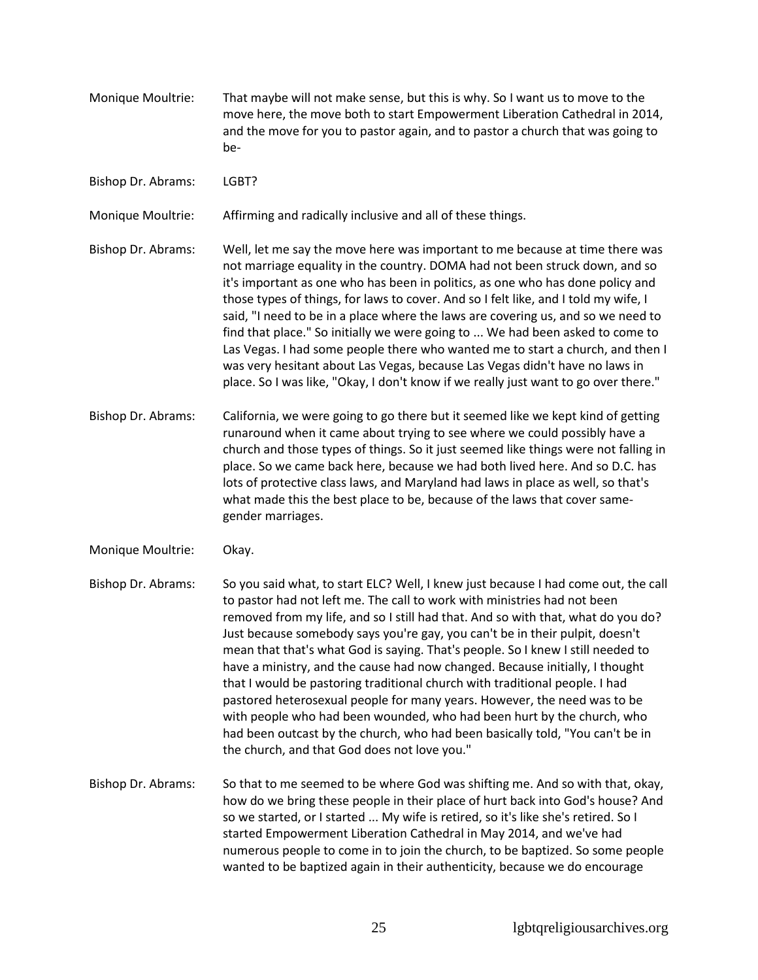- Monique Moultrie: That maybe will not make sense, but this is why. So I want us to move to the move here, the move both to start Empowerment Liberation Cathedral in 2014, and the move for you to pastor again, and to pastor a church that was going to be-
- Bishop Dr. Abrams: LGBT?

Monique Moultrie: Affirming and radically inclusive and all of these things.

Bishop Dr. Abrams: Well, let me say the move here was important to me because at time there was not marriage equality in the country. DOMA had not been struck down, and so it's important as one who has been in politics, as one who has done policy and those types of things, for laws to cover. And so I felt like, and I told my wife, I said, "I need to be in a place where the laws are covering us, and so we need to find that place." So initially we were going to ... We had been asked to come to Las Vegas. I had some people there who wanted me to start a church, and then I was very hesitant about Las Vegas, because Las Vegas didn't have no laws in place. So I was like, "Okay, I don't know if we really just want to go over there."

- Bishop Dr. Abrams: California, we were going to go there but it seemed like we kept kind of getting runaround when it came about trying to see where we could possibly have a church and those types of things. So it just seemed like things were not falling in place. So we came back here, because we had both lived here. And so D.C. has lots of protective class laws, and Maryland had laws in place as well, so that's what made this the best place to be, because of the laws that cover samegender marriages.
- Monique Moultrie: Okay.
- Bishop Dr. Abrams: So you said what, to start ELC? Well, I knew just because I had come out, the call to pastor had not left me. The call to work with ministries had not been removed from my life, and so I still had that. And so with that, what do you do? Just because somebody says you're gay, you can't be in their pulpit, doesn't mean that that's what God is saying. That's people. So I knew I still needed to have a ministry, and the cause had now changed. Because initially, I thought that I would be pastoring traditional church with traditional people. I had pastored heterosexual people for many years. However, the need was to be with people who had been wounded, who had been hurt by the church, who had been outcast by the church, who had been basically told, "You can't be in the church, and that God does not love you."
- Bishop Dr. Abrams: So that to me seemed to be where God was shifting me. And so with that, okay, how do we bring these people in their place of hurt back into God's house? And so we started, or I started ... My wife is retired, so it's like she's retired. So I started Empowerment Liberation Cathedral in May 2014, and we've had numerous people to come in to join the church, to be baptized. So some people wanted to be baptized again in their authenticity, because we do encourage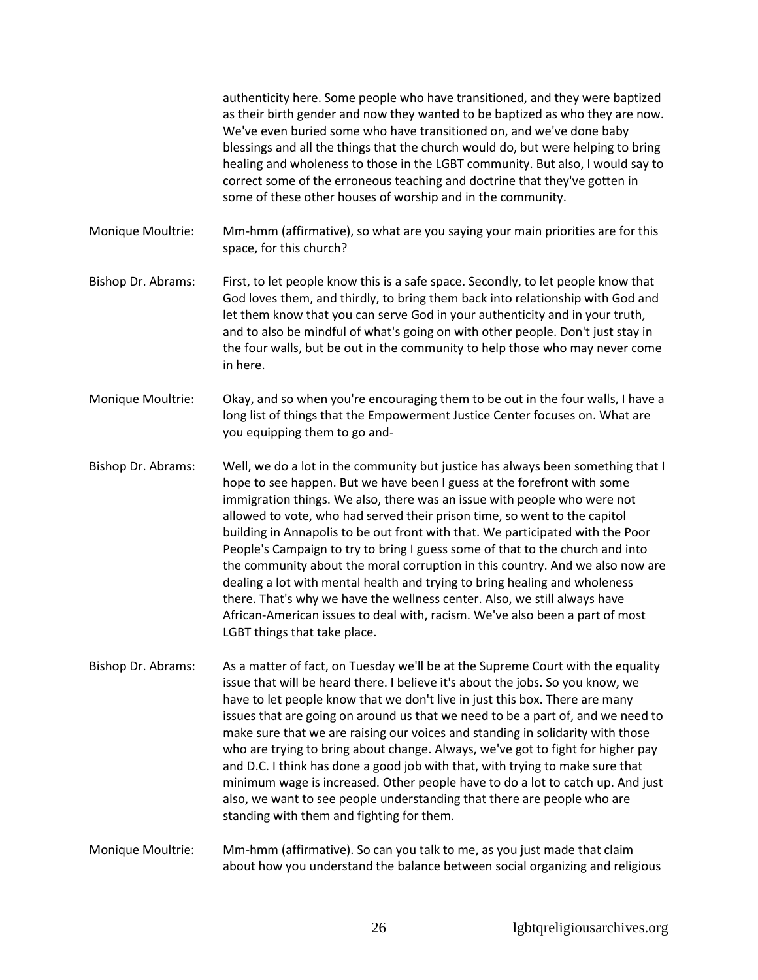authenticity here. Some people who have transitioned, and they were baptized as their birth gender and now they wanted to be baptized as who they are now. We've even buried some who have transitioned on, and we've done baby blessings and all the things that the church would do, but were helping to bring healing and wholeness to those in the LGBT community. But also, I would say to correct some of the erroneous teaching and doctrine that they've gotten in some of these other houses of worship and in the community.

Monique Moultrie: Mm-hmm (affirmative), so what are you saying your main priorities are for this space, for this church?

- Bishop Dr. Abrams: First, to let people know this is a safe space. Secondly, to let people know that God loves them, and thirdly, to bring them back into relationship with God and let them know that you can serve God in your authenticity and in your truth, and to also be mindful of what's going on with other people. Don't just stay in the four walls, but be out in the community to help those who may never come in here.
- Monique Moultrie: Okay, and so when you're encouraging them to be out in the four walls, I have a long list of things that the Empowerment Justice Center focuses on. What are you equipping them to go and-

Bishop Dr. Abrams: Well, we do a lot in the community but justice has always been something that I hope to see happen. But we have been I guess at the forefront with some immigration things. We also, there was an issue with people who were not allowed to vote, who had served their prison time, so went to the capitol building in Annapolis to be out front with that. We participated with the Poor People's Campaign to try to bring I guess some of that to the church and into the community about the moral corruption in this country. And we also now are dealing a lot with mental health and trying to bring healing and wholeness there. That's why we have the wellness center. Also, we still always have African-American issues to deal with, racism. We've also been a part of most LGBT things that take place.

Bishop Dr. Abrams: As a matter of fact, on Tuesday we'll be at the Supreme Court with the equality issue that will be heard there. I believe it's about the jobs. So you know, we have to let people know that we don't live in just this box. There are many issues that are going on around us that we need to be a part of, and we need to make sure that we are raising our voices and standing in solidarity with those who are trying to bring about change. Always, we've got to fight for higher pay and D.C. I think has done a good job with that, with trying to make sure that minimum wage is increased. Other people have to do a lot to catch up. And just also, we want to see people understanding that there are people who are standing with them and fighting for them.

Monique Moultrie: Mm-hmm (affirmative). So can you talk to me, as you just made that claim about how you understand the balance between social organizing and religious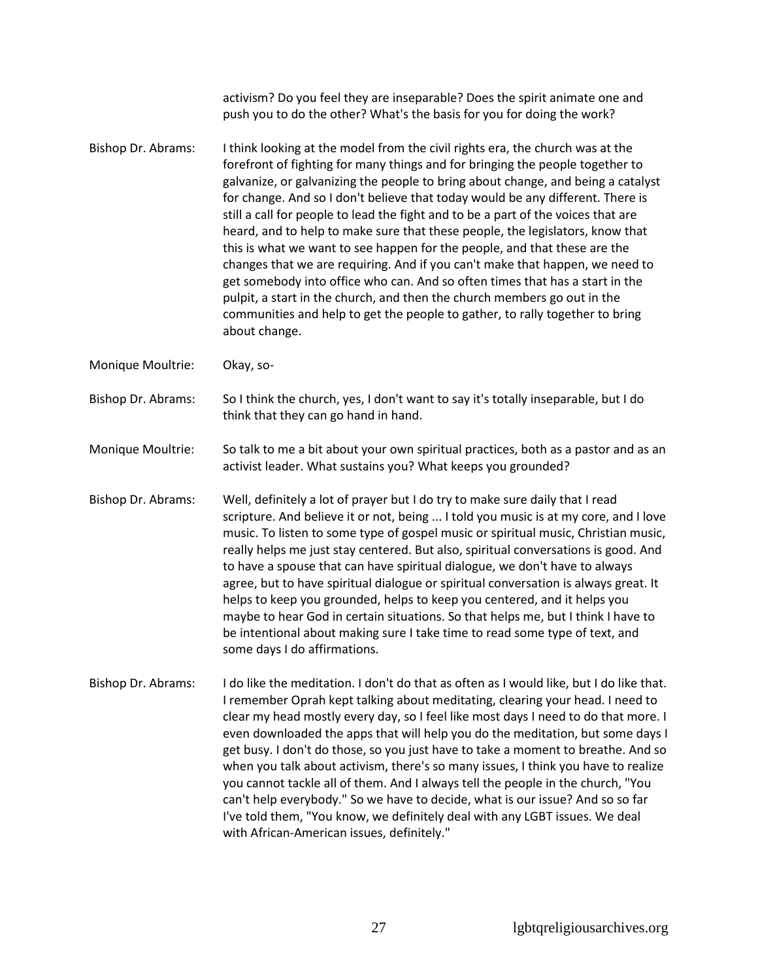activism? Do you feel they are inseparable? Does the spirit animate one and push you to do the other? What's the basis for you for doing the work? Bishop Dr. Abrams: I think looking at the model from the civil rights era, the church was at the forefront of fighting for many things and for bringing the people together to galvanize, or galvanizing the people to bring about change, and being a catalyst for change. And so I don't believe that today would be any different. There is still a call for people to lead the fight and to be a part of the voices that are heard, and to help to make sure that these people, the legislators, know that this is what we want to see happen for the people, and that these are the changes that we are requiring. And if you can't make that happen, we need to get somebody into office who can. And so often times that has a start in the pulpit, a start in the church, and then the church members go out in the communities and help to get the people to gather, to rally together to bring about change. Monique Moultrie: Okay, so-Bishop Dr. Abrams: So I think the church, yes, I don't want to say it's totally inseparable, but I do think that they can go hand in hand. Monique Moultrie: So talk to me a bit about your own spiritual practices, both as a pastor and as an activist leader. What sustains you? What keeps you grounded? Bishop Dr. Abrams: Well, definitely a lot of prayer but I do try to make sure daily that I read scripture. And believe it or not, being ... I told you music is at my core, and I love music. To listen to some type of gospel music or spiritual music, Christian music, really helps me just stay centered. But also, spiritual conversations is good. And to have a spouse that can have spiritual dialogue, we don't have to always agree, but to have spiritual dialogue or spiritual conversation is always great. It helps to keep you grounded, helps to keep you centered, and it helps you maybe to hear God in certain situations. So that helps me, but I think I have to be intentional about making sure I take time to read some type of text, and some days I do affirmations. Bishop Dr. Abrams: I do like the meditation. I don't do that as often as I would like, but I do like that. I remember Oprah kept talking about meditating, clearing your head. I need to clear my head mostly every day, so I feel like most days I need to do that more. I even downloaded the apps that will help you do the meditation, but some days I get busy. I don't do those, so you just have to take a moment to breathe. And so when you talk about activism, there's so many issues, I think you have to realize you cannot tackle all of them. And I always tell the people in the church, "You can't help everybody." So we have to decide, what is our issue? And so so far I've told them, "You know, we definitely deal with any LGBT issues. We deal with African-American issues, definitely."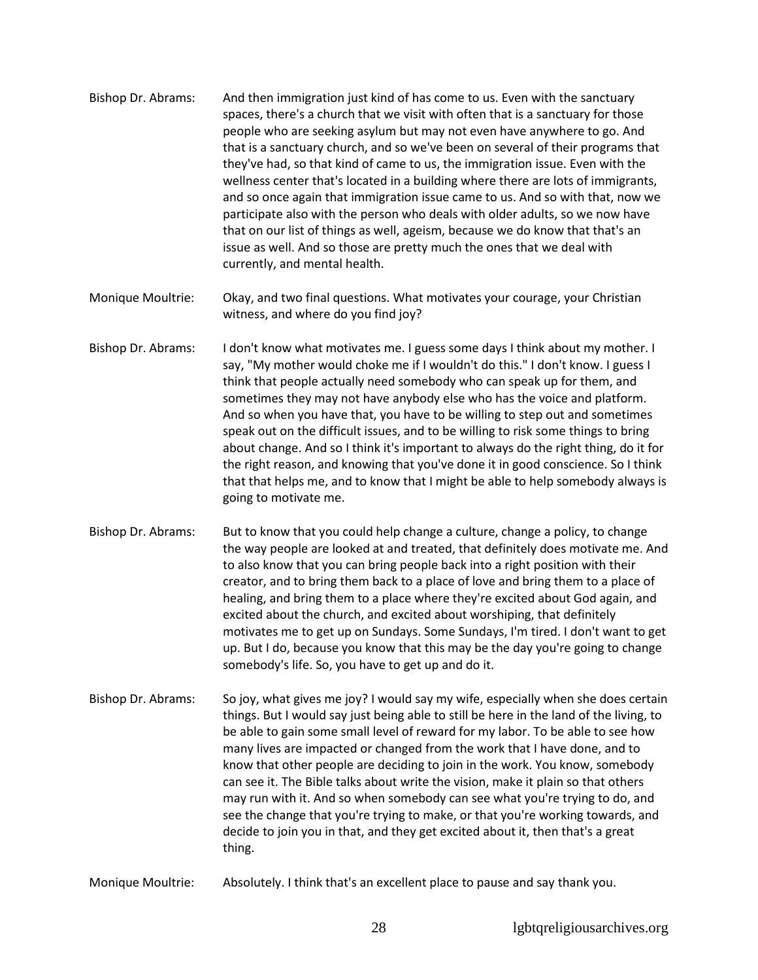- Bishop Dr. Abrams: And then immigration just kind of has come to us. Even with the sanctuary spaces, there's a church that we visit with often that is a sanctuary for those people who are seeking asylum but may not even have anywhere to go. And that is a sanctuary church, and so we've been on several of their programs that they've had, so that kind of came to us, the immigration issue. Even with the wellness center that's located in a building where there are lots of immigrants, and so once again that immigration issue came to us. And so with that, now we participate also with the person who deals with older adults, so we now have that on our list of things as well, ageism, because we do know that that's an issue as well. And so those are pretty much the ones that we deal with currently, and mental health.
- Monique Moultrie: Okay, and two final questions. What motivates your courage, your Christian witness, and where do you find joy?
- Bishop Dr. Abrams: I don't know what motivates me. I guess some days I think about my mother. I say, "My mother would choke me if I wouldn't do this." I don't know. I guess I think that people actually need somebody who can speak up for them, and sometimes they may not have anybody else who has the voice and platform. And so when you have that, you have to be willing to step out and sometimes speak out on the difficult issues, and to be willing to risk some things to bring about change. And so I think it's important to always do the right thing, do it for the right reason, and knowing that you've done it in good conscience. So I think that that helps me, and to know that I might be able to help somebody always is going to motivate me.
- Bishop Dr. Abrams: But to know that you could help change a culture, change a policy, to change the way people are looked at and treated, that definitely does motivate me. And to also know that you can bring people back into a right position with their creator, and to bring them back to a place of love and bring them to a place of healing, and bring them to a place where they're excited about God again, and excited about the church, and excited about worshiping, that definitely motivates me to get up on Sundays. Some Sundays, I'm tired. I don't want to get up. But I do, because you know that this may be the day you're going to change somebody's life. So, you have to get up and do it.
- Bishop Dr. Abrams: So joy, what gives me joy? I would say my wife, especially when she does certain things. But I would say just being able to still be here in the land of the living, to be able to gain some small level of reward for my labor. To be able to see how many lives are impacted or changed from the work that I have done, and to know that other people are deciding to join in the work. You know, somebody can see it. The Bible talks about write the vision, make it plain so that others may run with it. And so when somebody can see what you're trying to do, and see the change that you're trying to make, or that you're working towards, and decide to join you in that, and they get excited about it, then that's a great thing.
- Monique Moultrie: Absolutely. I think that's an excellent place to pause and say thank you.